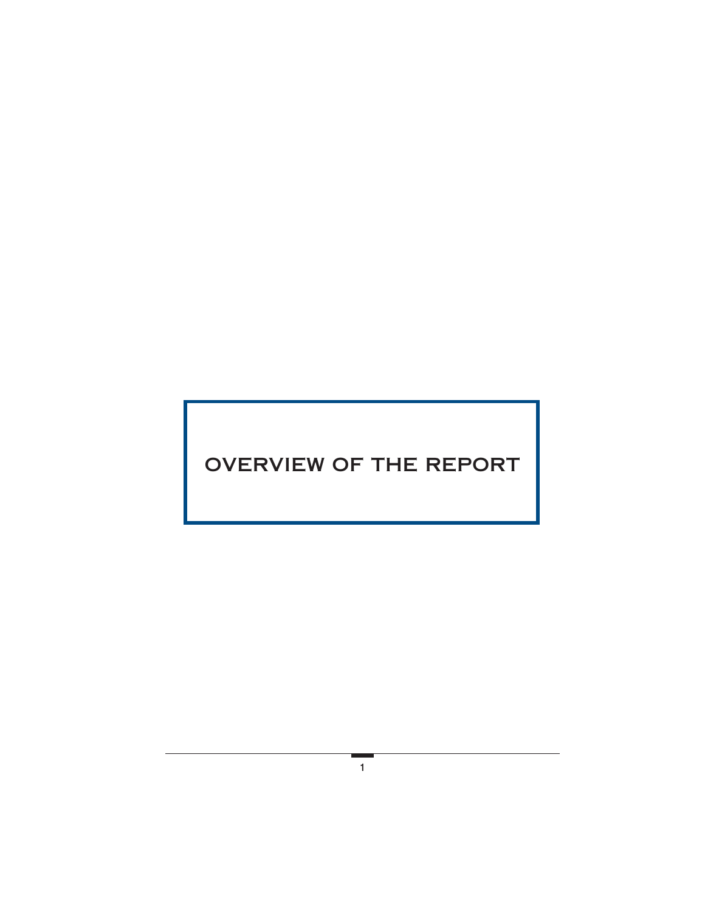OVERVIEW OF THE REPORT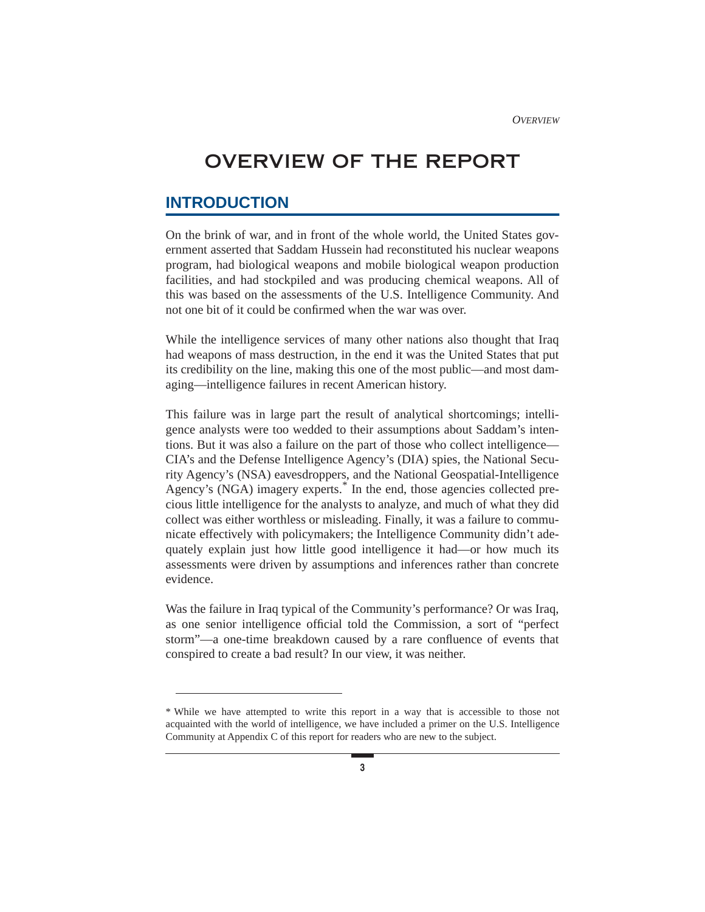# OVERVIEW OF THE REPORT

### **INTRODUCTION**

On the brink of war, and in front of the whole world, the United States government asserted that Saddam Hussein had reconstituted his nuclear weapons program, had biological weapons and mobile biological weapon production facilities, and had stockpiled and was producing chemical weapons. All of this was based on the assessments of the U.S. Intelligence Community. And not one bit of it could be confirmed when the war was over.

While the intelligence services of many other nations also thought that Iraq had weapons of mass destruction, in the end it was the United States that put its credibility on the line, making this one of the most public—and most damaging—intelligence failures in recent American history.

This failure was in large part the result of analytical shortcomings; intelligence analysts were too wedded to their assumptions about Saddam's intentions. But it was also a failure on the part of those who collect intelligence— CIA's and the Defense Intelligence Agency's (DIA) spies, the National Security Agency's (NSA) eavesdroppers, and the National Geospatial-Intelligence Agency's (NGA) imagery experts.<sup>\*</sup> In the end, those agencies collected precious little intelligence for the analysts to analyze, and much of what they did collect was either worthless or misleading. Finally, it was a failure to communicate effectively with policymakers; the Intelligence Community didn't adequately explain just how little good intelligence it had—or how much its assessments were driven by assumptions and inferences rather than concrete evidence.

Was the failure in Iraq typical of the Community's performance? Or was Iraq, as one senior intelligence official told the Commission, a sort of "perfect storm"—a one-time breakdown caused by a rare confluence of events that conspired to create a bad result? In our view, it was neither.

<sup>\*</sup> While we have attempted to write this report in a way that is accessible to those not acquainted with the world of intelligence, we have included a primer on the U.S. Intelligence Community at Appendix C of this report for readers who are new to the subject.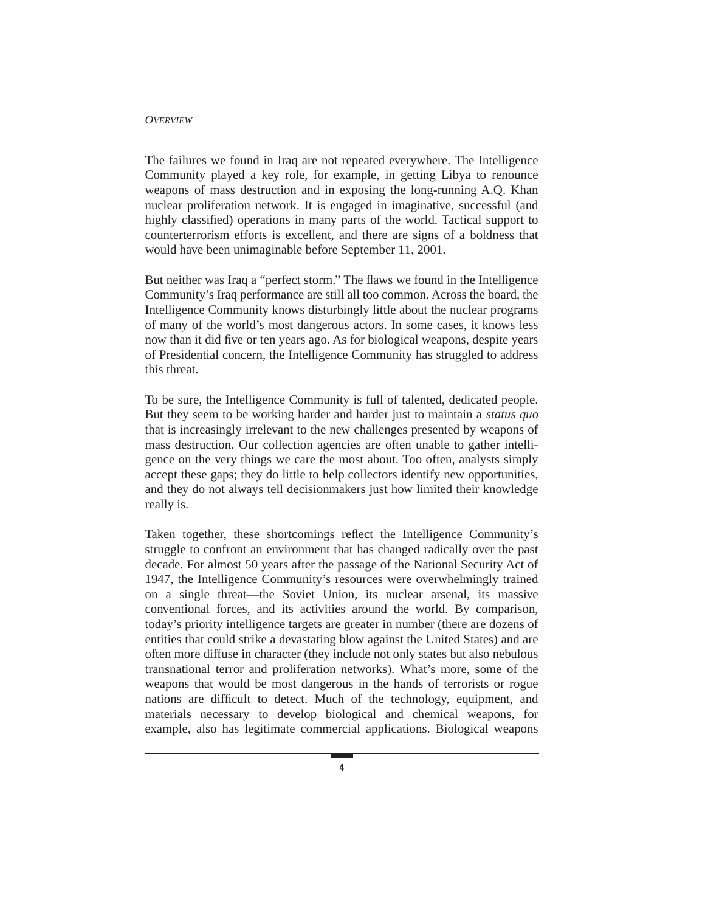The failures we found in Iraq are not repeated everywhere. The Intelligence Community played a key role, for example, in getting Libya to renounce weapons of mass destruction and in exposing the long-running A.Q. Khan nuclear proliferation network. It is engaged in imaginative, successful (and highly classified) operations in many parts of the world. Tactical support to counterterrorism efforts is excellent, and there are signs of a boldness that would have been unimaginable before September 11, 2001.

But neither was Iraq a "perfect storm." The flaws we found in the Intelligence Community's Iraq performance are still all too common. Across the board, the Intelligence Community knows disturbingly little about the nuclear programs of many of the world's most dangerous actors. In some cases, it knows less now than it did five or ten years ago. As for biological weapons, despite years of Presidential concern, the Intelligence Community has struggled to address this threat.

To be sure, the Intelligence Community is full of talented, dedicated people. But they seem to be working harder and harder just to maintain a *status quo* that is increasingly irrelevant to the new challenges presented by weapons of mass destruction. Our collection agencies are often unable to gather intelligence on the very things we care the most about. Too often, analysts simply accept these gaps; they do little to help collectors identify new opportunities, and they do not always tell decisionmakers just how limited their knowledge really is.

Taken together, these shortcomings reflect the Intelligence Community's struggle to confront an environment that has changed radically over the past decade. For almost 50 years after the passage of the National Security Act of 1947, the Intelligence Community's resources were overwhelmingly trained on a single threat—the Soviet Union, its nuclear arsenal, its massive conventional forces, and its activities around the world. By comparison, today's priority intelligence targets are greater in number (there are dozens of entities that could strike a devastating blow against the United States) and are often more diffuse in character (they include not only states but also nebulous transnational terror and proliferation networks). What's more, some of the weapons that would be most dangerous in the hands of terrorists or rogue nations are difficult to detect. Much of the technology, equipment, and materials necessary to develop biological and chemical weapons, for example, also has legitimate commercial applications. Biological weapons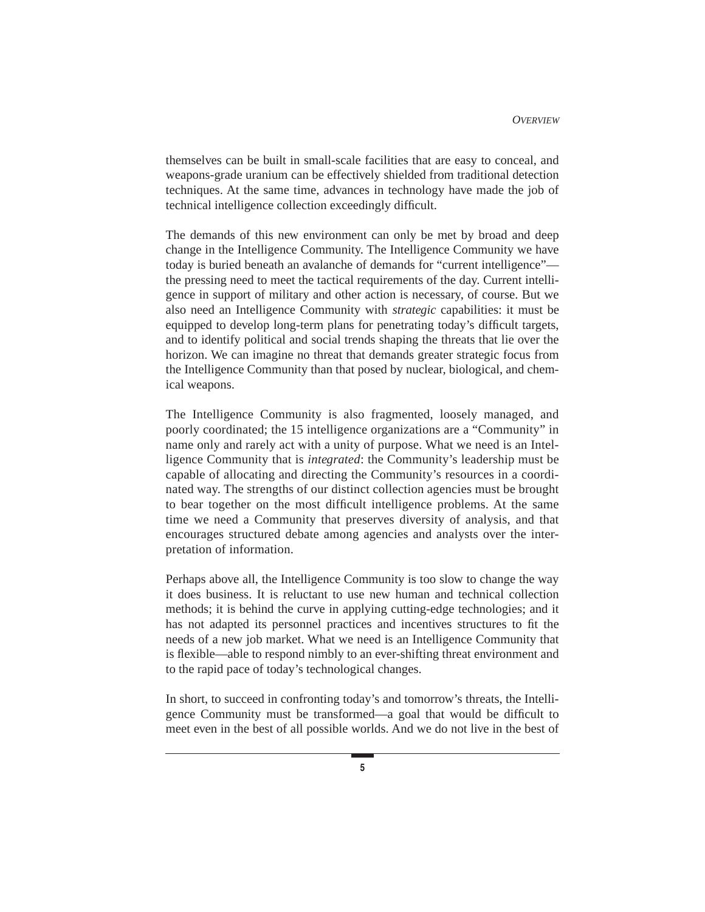themselves can be built in small-scale facilities that are easy to conceal, and weapons-grade uranium can be effectively shielded from traditional detection techniques. At the same time, advances in technology have made the job of technical intelligence collection exceedingly difficult.

The demands of this new environment can only be met by broad and deep change in the Intelligence Community. The Intelligence Community we have today is buried beneath an avalanche of demands for "current intelligence" the pressing need to meet the tactical requirements of the day. Current intelligence in support of military and other action is necessary, of course. But we also need an Intelligence Community with *strategic* capabilities: it must be equipped to develop long-term plans for penetrating today's difficult targets, and to identify political and social trends shaping the threats that lie over the horizon. We can imagine no threat that demands greater strategic focus from the Intelligence Community than that posed by nuclear, biological, and chemical weapons.

The Intelligence Community is also fragmented, loosely managed, and poorly coordinated; the 15 intelligence organizations are a "Community" in name only and rarely act with a unity of purpose. What we need is an Intelligence Community that is *integrated*: the Community's leadership must be capable of allocating and directing the Community's resources in a coordinated way. The strengths of our distinct collection agencies must be brought to bear together on the most difficult intelligence problems. At the same time we need a Community that preserves diversity of analysis, and that encourages structured debate among agencies and analysts over the interpretation of information.

Perhaps above all, the Intelligence Community is too slow to change the way it does business. It is reluctant to use new human and technical collection methods; it is behind the curve in applying cutting-edge technologies; and it has not adapted its personnel practices and incentives structures to fit the needs of a new job market. What we need is an Intelligence Community that is flexible—able to respond nimbly to an ever-shifting threat environment and to the rapid pace of today's technological changes.

In short, to succeed in confronting today's and tomorrow's threats, the Intelligence Community must be transformed—a goal that would be difficult to meet even in the best of all possible worlds. And we do not live in the best of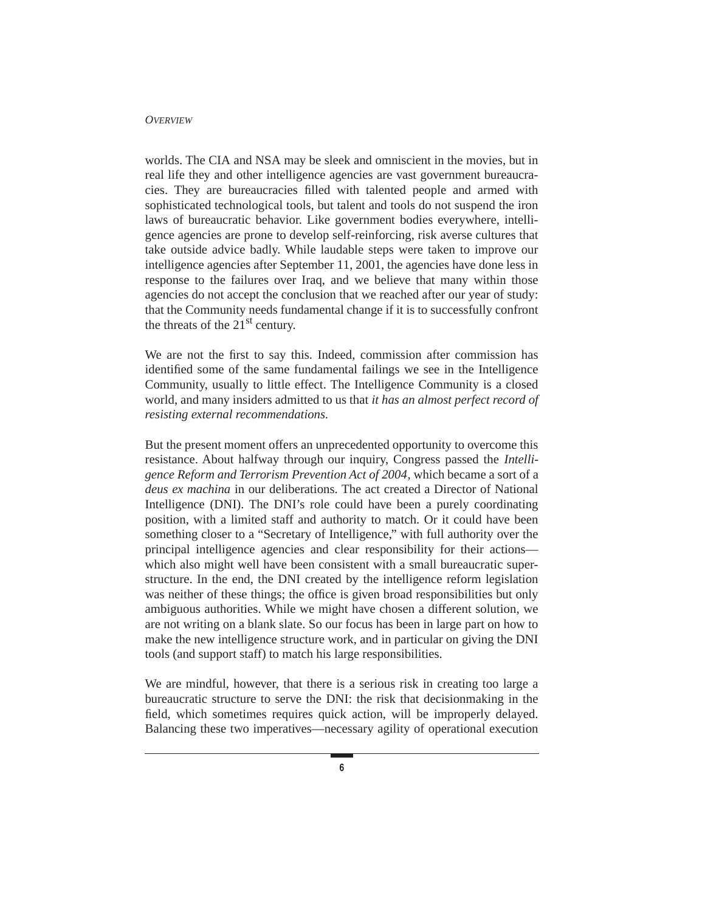worlds. The CIA and NSA may be sleek and omniscient in the movies, but in real life they and other intelligence agencies are vast government bureaucracies. They are bureaucracies filled with talented people and armed with sophisticated technological tools, but talent and tools do not suspend the iron laws of bureaucratic behavior. Like government bodies everywhere, intelligence agencies are prone to develop self-reinforcing, risk averse cultures that take outside advice badly. While laudable steps were taken to improve our intelligence agencies after September 11, 2001, the agencies have done less in response to the failures over Iraq, and we believe that many within those agencies do not accept the conclusion that we reached after our year of study: that the Community needs fundamental change if it is to successfully confront the threats of the  $21<sup>st</sup>$  century.

We are not the first to say this. Indeed, commission after commission has identified some of the same fundamental failings we see in the Intelligence Community, usually to little effect. The Intelligence Community is a closed world, and many insiders admitted to us that *it has an almost perfect record of resisting external recommendations.* 

But the present moment offers an unprecedented opportunity to overcome this resistance. About halfway through our inquiry, Congress passed the *Intelligence Reform and Terrorism Prevention Act of 2004*, which became a sort of a *deus ex machina* in our deliberations. The act created a Director of National Intelligence (DNI). The DNI's role could have been a purely coordinating position, with a limited staff and authority to match. Or it could have been something closer to a "Secretary of Intelligence," with full authority over the principal intelligence agencies and clear responsibility for their actions which also might well have been consistent with a small bureaucratic superstructure. In the end, the DNI created by the intelligence reform legislation was neither of these things; the office is given broad responsibilities but only ambiguous authorities. While we might have chosen a different solution, we are not writing on a blank slate. So our focus has been in large part on how to make the new intelligence structure work, and in particular on giving the DNI tools (and support staff) to match his large responsibilities.

We are mindful, however, that there is a serious risk in creating too large a bureaucratic structure to serve the DNI: the risk that decisionmaking in the field, which sometimes requires quick action, will be improperly delayed. Balancing these two imperatives—necessary agility of operational execution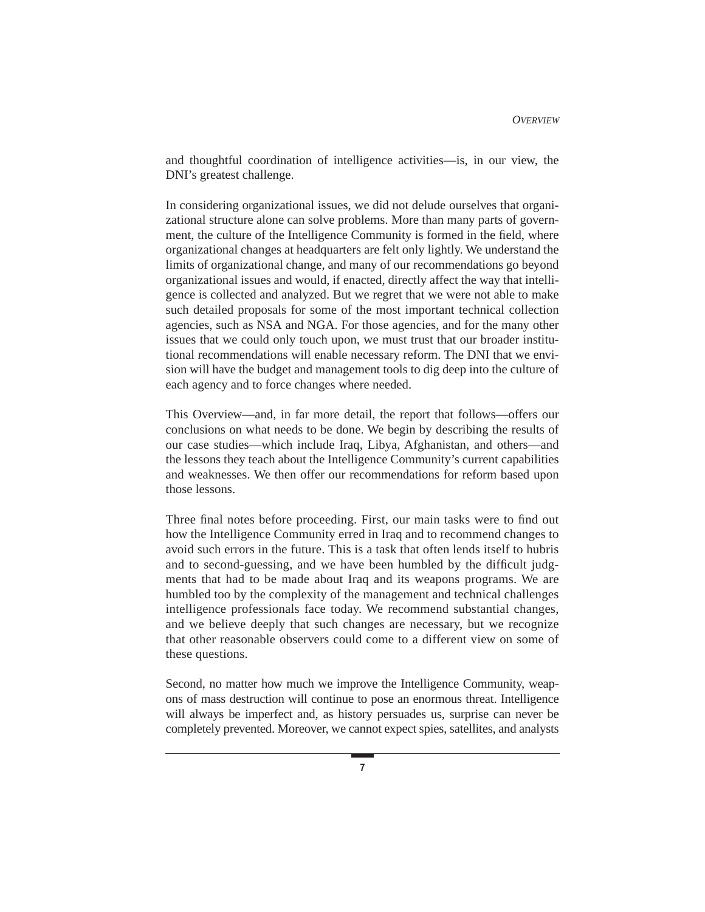and thoughtful coordination of intelligence activities—is, in our view, the DNI's greatest challenge.

In considering organizational issues, we did not delude ourselves that organizational structure alone can solve problems. More than many parts of government, the culture of the Intelligence Community is formed in the field, where organizational changes at headquarters are felt only lightly. We understand the limits of organizational change, and many of our recommendations go beyond organizational issues and would, if enacted, directly affect the way that intelligence is collected and analyzed. But we regret that we were not able to make such detailed proposals for some of the most important technical collection agencies, such as NSA and NGA. For those agencies, and for the many other issues that we could only touch upon, we must trust that our broader institutional recommendations will enable necessary reform. The DNI that we envision will have the budget and management tools to dig deep into the culture of each agency and to force changes where needed.

This Overview—and, in far more detail, the report that follows—offers our conclusions on what needs to be done. We begin by describing the results of our case studies—which include Iraq, Libya, Afghanistan, and others—and the lessons they teach about the Intelligence Community's current capabilities and weaknesses. We then offer our recommendations for reform based upon those lessons.

Three final notes before proceeding. First, our main tasks were to find out how the Intelligence Community erred in Iraq and to recommend changes to avoid such errors in the future. This is a task that often lends itself to hubris and to second-guessing, and we have been humbled by the difficult judgments that had to be made about Iraq and its weapons programs. We are humbled too by the complexity of the management and technical challenges intelligence professionals face today. We recommend substantial changes, and we believe deeply that such changes are necessary, but we recognize that other reasonable observers could come to a different view on some of these questions.

Second, no matter how much we improve the Intelligence Community, weapons of mass destruction will continue to pose an enormous threat. Intelligence will always be imperfect and, as history persuades us, surprise can never be completely prevented. Moreover, we cannot expect spies, satellites, and analysts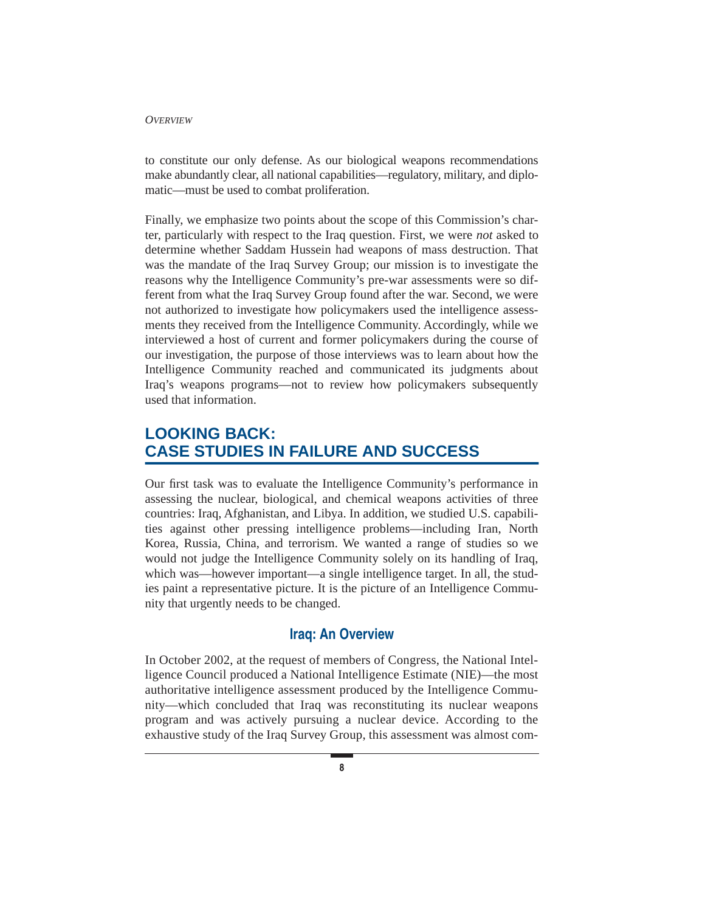to constitute our only defense. As our biological weapons recommendations make abundantly clear, all national capabilities—regulatory, military, and diplomatic—must be used to combat proliferation.

Finally, we emphasize two points about the scope of this Commission's charter, particularly with respect to the Iraq question. First, we were *not* asked to determine whether Saddam Hussein had weapons of mass destruction. That was the mandate of the Iraq Survey Group; our mission is to investigate the reasons why the Intelligence Community's pre-war assessments were so different from what the Iraq Survey Group found after the war. Second, we were not authorized to investigate how policymakers used the intelligence assessments they received from the Intelligence Community. Accordingly, while we interviewed a host of current and former policymakers during the course of our investigation, the purpose of those interviews was to learn about how the Intelligence Community reached and communicated its judgments about Iraq's weapons programs—not to review how policymakers subsequently used that information.

## **LOOKING BACK: CASE STUDIES IN FAILURE AND SUCCESS**

Our first task was to evaluate the Intelligence Community's performance in assessing the nuclear, biological, and chemical weapons activities of three countries: Iraq, Afghanistan, and Libya. In addition, we studied U.S. capabilities against other pressing intelligence problems—including Iran, North Korea, Russia, China, and terrorism. We wanted a range of studies so we would not judge the Intelligence Community solely on its handling of Iraq, which was—however important—a single intelligence target. In all, the studies paint a representative picture. It is the picture of an Intelligence Community that urgently needs to be changed.

### **Iraq: An Overview**

In October 2002, at the request of members of Congress, the National Intelligence Council produced a National Intelligence Estimate (NIE)—the most authoritative intelligence assessment produced by the Intelligence Community—which concluded that Iraq was reconstituting its nuclear weapons program and was actively pursuing a nuclear device. According to the exhaustive study of the Iraq Survey Group, this assessment was almost com-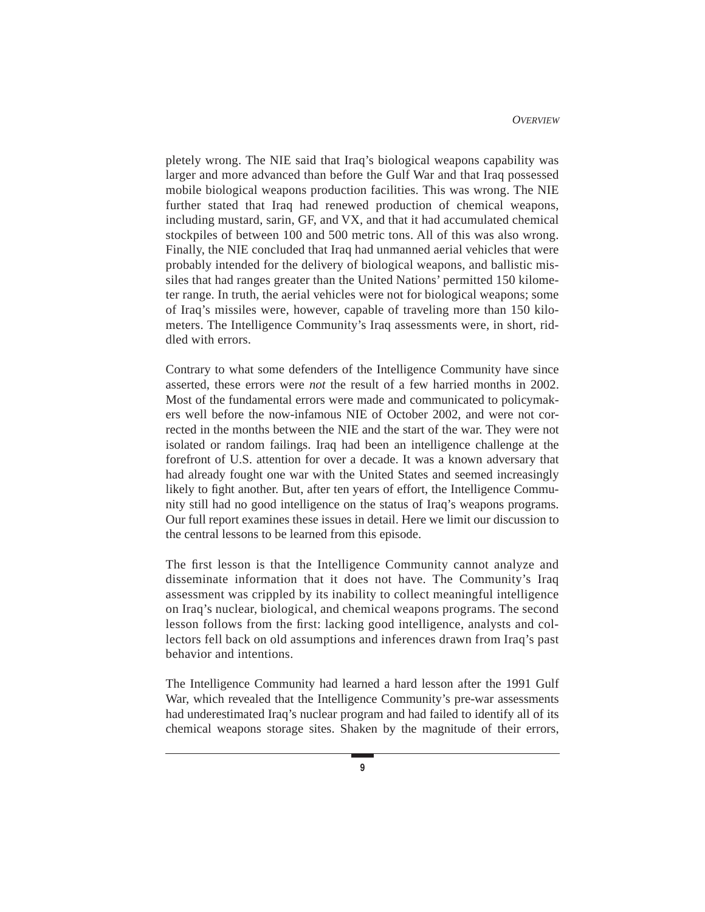pletely wrong. The NIE said that Iraq's biological weapons capability was larger and more advanced than before the Gulf War and that Iraq possessed mobile biological weapons production facilities. This was wrong. The NIE further stated that Iraq had renewed production of chemical weapons, including mustard, sarin, GF, and VX, and that it had accumulated chemical stockpiles of between 100 and 500 metric tons. All of this was also wrong. Finally, the NIE concluded that Iraq had unmanned aerial vehicles that were probably intended for the delivery of biological weapons, and ballistic missiles that had ranges greater than the United Nations' permitted 150 kilometer range. In truth, the aerial vehicles were not for biological weapons; some of Iraq's missiles were, however, capable of traveling more than 150 kilometers. The Intelligence Community's Iraq assessments were, in short, riddled with errors.

Contrary to what some defenders of the Intelligence Community have since asserted, these errors were *not* the result of a few harried months in 2002. Most of the fundamental errors were made and communicated to policymakers well before the now-infamous NIE of October 2002, and were not corrected in the months between the NIE and the start of the war. They were not isolated or random failings. Iraq had been an intelligence challenge at the forefront of U.S. attention for over a decade. It was a known adversary that had already fought one war with the United States and seemed increasingly likely to fight another. But, after ten years of effort, the Intelligence Community still had no good intelligence on the status of Iraq's weapons programs. Our full report examines these issues in detail. Here we limit our discussion to the central lessons to be learned from this episode.

The first lesson is that the Intelligence Community cannot analyze and disseminate information that it does not have. The Community's Iraq assessment was crippled by its inability to collect meaningful intelligence on Iraq's nuclear, biological, and chemical weapons programs. The second lesson follows from the first: lacking good intelligence, analysts and collectors fell back on old assumptions and inferences drawn from Iraq's past behavior and intentions.

The Intelligence Community had learned a hard lesson after the 1991 Gulf War, which revealed that the Intelligence Community's pre-war assessments had underestimated Iraq's nuclear program and had failed to identify all of its chemical weapons storage sites. Shaken by the magnitude of their errors,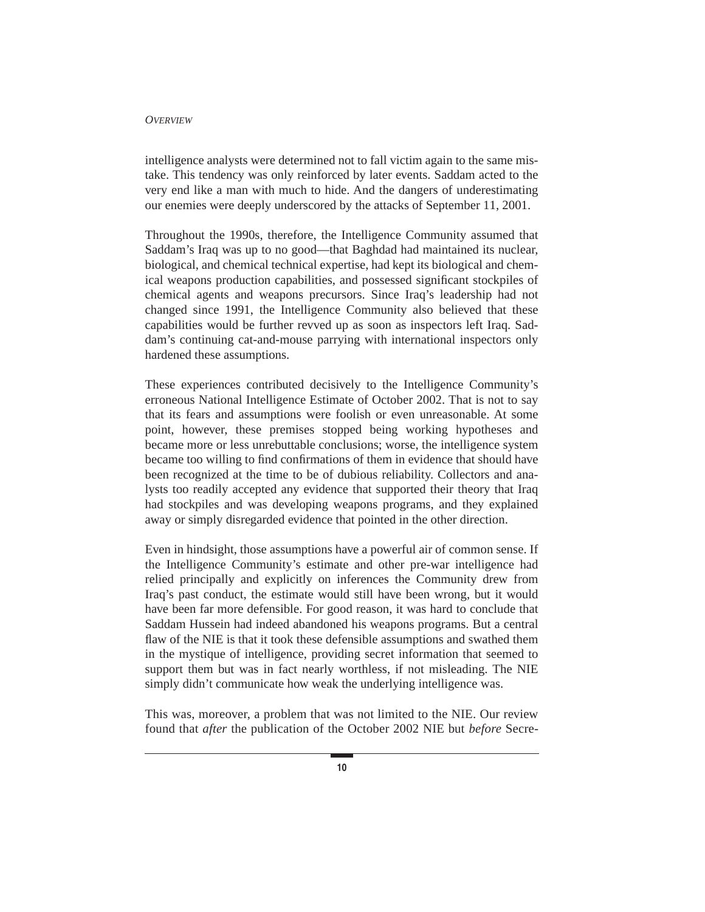intelligence analysts were determined not to fall victim again to the same mistake. This tendency was only reinforced by later events. Saddam acted to the very end like a man with much to hide. And the dangers of underestimating our enemies were deeply underscored by the attacks of September 11, 2001.

Throughout the 1990s, therefore, the Intelligence Community assumed that Saddam's Iraq was up to no good—that Baghdad had maintained its nuclear, biological, and chemical technical expertise, had kept its biological and chemical weapons production capabilities, and possessed significant stockpiles of chemical agents and weapons precursors. Since Iraq's leadership had not changed since 1991, the Intelligence Community also believed that these capabilities would be further revved up as soon as inspectors left Iraq. Saddam's continuing cat-and-mouse parrying with international inspectors only hardened these assumptions.

These experiences contributed decisively to the Intelligence Community's erroneous National Intelligence Estimate of October 2002. That is not to say that its fears and assumptions were foolish or even unreasonable. At some point, however, these premises stopped being working hypotheses and became more or less unrebuttable conclusions; worse, the intelligence system became too willing to find confirmations of them in evidence that should have been recognized at the time to be of dubious reliability. Collectors and analysts too readily accepted any evidence that supported their theory that Iraq had stockpiles and was developing weapons programs, and they explained away or simply disregarded evidence that pointed in the other direction.

Even in hindsight, those assumptions have a powerful air of common sense. If the Intelligence Community's estimate and other pre-war intelligence had relied principally and explicitly on inferences the Community drew from Iraq's past conduct, the estimate would still have been wrong, but it would have been far more defensible. For good reason, it was hard to conclude that Saddam Hussein had indeed abandoned his weapons programs. But a central flaw of the NIE is that it took these defensible assumptions and swathed them in the mystique of intelligence, providing secret information that seemed to support them but was in fact nearly worthless, if not misleading. The NIE simply didn't communicate how weak the underlying intelligence was.

This was, moreover, a problem that was not limited to the NIE. Our review found that *after* the publication of the October 2002 NIE but *before* Secre-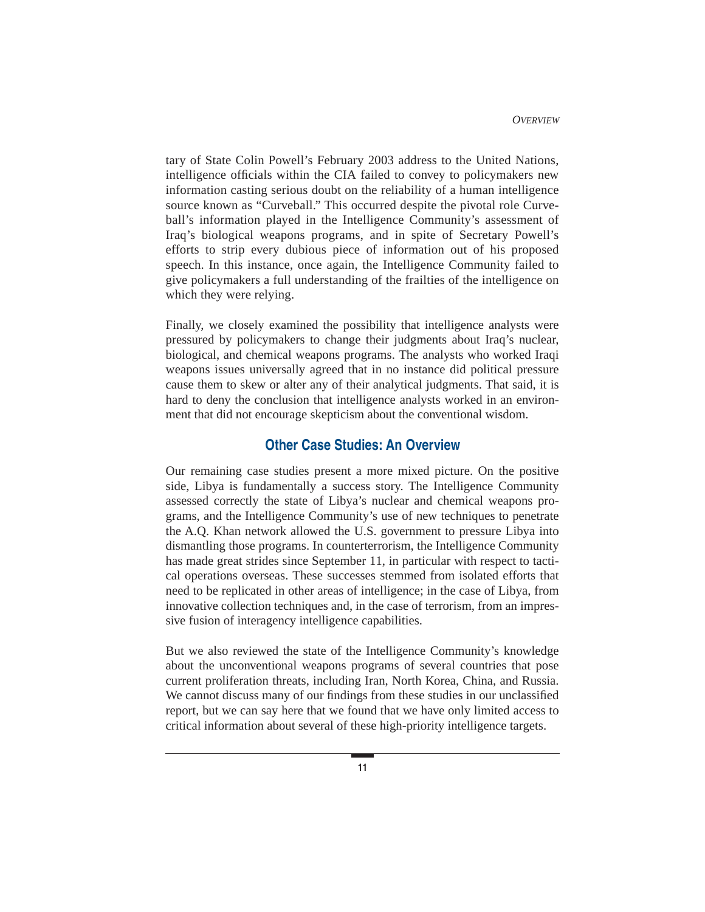tary of State Colin Powell's February 2003 address to the United Nations, intelligence officials within the CIA failed to convey to policymakers new information casting serious doubt on the reliability of a human intelligence source known as "Curveball." This occurred despite the pivotal role Curveball's information played in the Intelligence Community's assessment of Iraq's biological weapons programs, and in spite of Secretary Powell's efforts to strip every dubious piece of information out of his proposed speech. In this instance, once again, the Intelligence Community failed to give policymakers a full understanding of the frailties of the intelligence on which they were relying.

Finally, we closely examined the possibility that intelligence analysts were pressured by policymakers to change their judgments about Iraq's nuclear, biological, and chemical weapons programs. The analysts who worked Iraqi weapons issues universally agreed that in no instance did political pressure cause them to skew or alter any of their analytical judgments. That said, it is hard to deny the conclusion that intelligence analysts worked in an environment that did not encourage skepticism about the conventional wisdom.

### **Other Case Studies: An Overview**

Our remaining case studies present a more mixed picture. On the positive side, Libya is fundamentally a success story. The Intelligence Community assessed correctly the state of Libya's nuclear and chemical weapons programs, and the Intelligence Community's use of new techniques to penetrate the A.Q. Khan network allowed the U.S. government to pressure Libya into dismantling those programs. In counterterrorism, the Intelligence Community has made great strides since September 11, in particular with respect to tactical operations overseas. These successes stemmed from isolated efforts that need to be replicated in other areas of intelligence; in the case of Libya, from innovative collection techniques and, in the case of terrorism, from an impressive fusion of interagency intelligence capabilities.

But we also reviewed the state of the Intelligence Community's knowledge about the unconventional weapons programs of several countries that pose current proliferation threats, including Iran, North Korea, China, and Russia. We cannot discuss many of our findings from these studies in our unclassified report, but we can say here that we found that we have only limited access to critical information about several of these high-priority intelligence targets.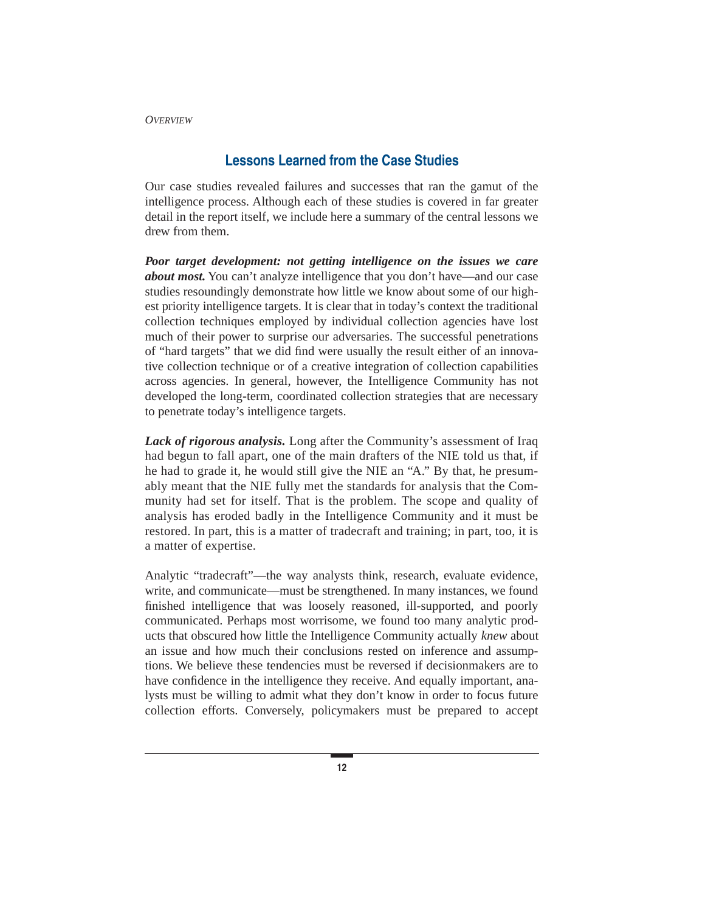### **Lessons Learned from the Case Studies**

Our case studies revealed failures and successes that ran the gamut of the intelligence process. Although each of these studies is covered in far greater detail in the report itself, we include here a summary of the central lessons we drew from them.

*Poor target development: not getting intelligence on the issues we care about most.* You can't analyze intelligence that you don't have—and our case studies resoundingly demonstrate how little we know about some of our highest priority intelligence targets. It is clear that in today's context the traditional collection techniques employed by individual collection agencies have lost much of their power to surprise our adversaries. The successful penetrations of "hard targets" that we did find were usually the result either of an innovative collection technique or of a creative integration of collection capabilities across agencies. In general, however, the Intelligence Community has not developed the long-term, coordinated collection strategies that are necessary to penetrate today's intelligence targets.

*Lack of rigorous analysis.* Long after the Community's assessment of Iraq had begun to fall apart, one of the main drafters of the NIE told us that, if he had to grade it, he would still give the NIE an "A." By that, he presumably meant that the NIE fully met the standards for analysis that the Community had set for itself. That is the problem. The scope and quality of analysis has eroded badly in the Intelligence Community and it must be restored. In part, this is a matter of tradecraft and training; in part, too, it is a matter of expertise.

Analytic "tradecraft"—the way analysts think, research, evaluate evidence, write, and communicate—must be strengthened. In many instances, we found finished intelligence that was loosely reasoned, ill-supported, and poorly communicated. Perhaps most worrisome, we found too many analytic products that obscured how little the Intelligence Community actually *knew* about an issue and how much their conclusions rested on inference and assumptions. We believe these tendencies must be reversed if decisionmakers are to have confidence in the intelligence they receive. And equally important, analysts must be willing to admit what they don't know in order to focus future collection efforts. Conversely, policymakers must be prepared to accept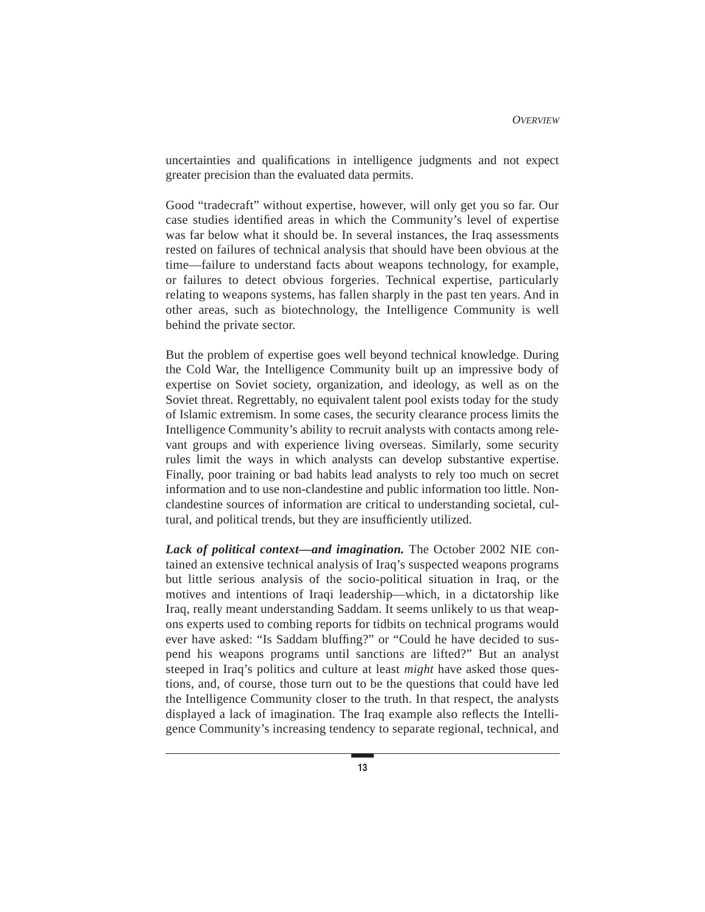uncertainties and qualifications in intelligence judgments and not expect greater precision than the evaluated data permits.

Good "tradecraft" without expertise, however, will only get you so far. Our case studies identified areas in which the Community's level of expertise was far below what it should be. In several instances, the Iraq assessments rested on failures of technical analysis that should have been obvious at the time—failure to understand facts about weapons technology, for example, or failures to detect obvious forgeries. Technical expertise, particularly relating to weapons systems, has fallen sharply in the past ten years. And in other areas, such as biotechnology, the Intelligence Community is well behind the private sector.

But the problem of expertise goes well beyond technical knowledge. During the Cold War, the Intelligence Community built up an impressive body of expertise on Soviet society, organization, and ideology, as well as on the Soviet threat. Regrettably, no equivalent talent pool exists today for the study of Islamic extremism. In some cases, the security clearance process limits the Intelligence Community's ability to recruit analysts with contacts among relevant groups and with experience living overseas. Similarly, some security rules limit the ways in which analysts can develop substantive expertise. Finally, poor training or bad habits lead analysts to rely too much on secret information and to use non-clandestine and public information too little. Nonclandestine sources of information are critical to understanding societal, cultural, and political trends, but they are insufficiently utilized.

*Lack of political context—and imagination.* The October 2002 NIE contained an extensive technical analysis of Iraq's suspected weapons programs but little serious analysis of the socio-political situation in Iraq, or the motives and intentions of Iraqi leadership—which, in a dictatorship like Iraq, really meant understanding Saddam. It seems unlikely to us that weapons experts used to combing reports for tidbits on technical programs would ever have asked: "Is Saddam bluffing?" or "Could he have decided to suspend his weapons programs until sanctions are lifted?" But an analyst steeped in Iraq's politics and culture at least *might* have asked those questions, and, of course, those turn out to be the questions that could have led the Intelligence Community closer to the truth. In that respect, the analysts displayed a lack of imagination. The Iraq example also reflects the Intelligence Community's increasing tendency to separate regional, technical, and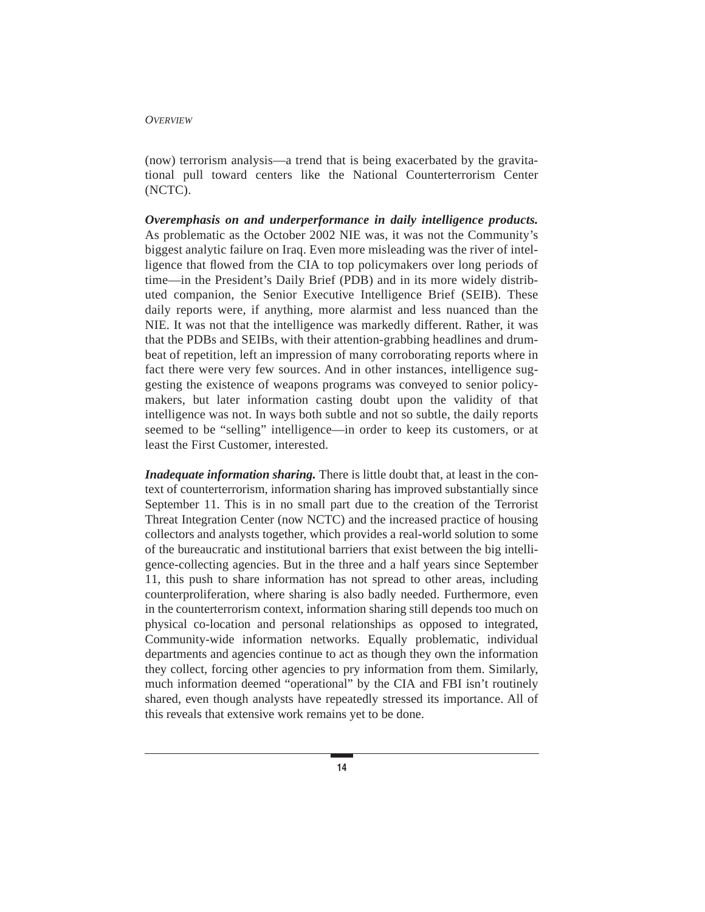(now) terrorism analysis—a trend that is being exacerbated by the gravitational pull toward centers like the National Counterterrorism Center (NCTC).

*Overemphasis on and underperformance in daily intelligence products.* As problematic as the October 2002 NIE was, it was not the Community's biggest analytic failure on Iraq. Even more misleading was the river of intelligence that flowed from the CIA to top policymakers over long periods of time—in the President's Daily Brief (PDB) and in its more widely distributed companion, the Senior Executive Intelligence Brief (SEIB). These daily reports were, if anything, more alarmist and less nuanced than the NIE. It was not that the intelligence was markedly different. Rather, it was that the PDBs and SEIBs, with their attention-grabbing headlines and drumbeat of repetition, left an impression of many corroborating reports where in fact there were very few sources. And in other instances, intelligence suggesting the existence of weapons programs was conveyed to senior policymakers, but later information casting doubt upon the validity of that intelligence was not. In ways both subtle and not so subtle, the daily reports seemed to be "selling" intelligence—in order to keep its customers, or at least the First Customer, interested.

*Inadequate information sharing.* There is little doubt that, at least in the context of counterterrorism, information sharing has improved substantially since September 11. This is in no small part due to the creation of the Terrorist Threat Integration Center (now NCTC) and the increased practice of housing collectors and analysts together, which provides a real-world solution to some of the bureaucratic and institutional barriers that exist between the big intelligence-collecting agencies. But in the three and a half years since September 11, this push to share information has not spread to other areas, including counterproliferation, where sharing is also badly needed. Furthermore, even in the counterterrorism context, information sharing still depends too much on physical co-location and personal relationships as opposed to integrated, Community-wide information networks. Equally problematic, individual departments and agencies continue to act as though they own the information they collect, forcing other agencies to pry information from them. Similarly, much information deemed "operational" by the CIA and FBI isn't routinely shared, even though analysts have repeatedly stressed its importance. All of this reveals that extensive work remains yet to be done.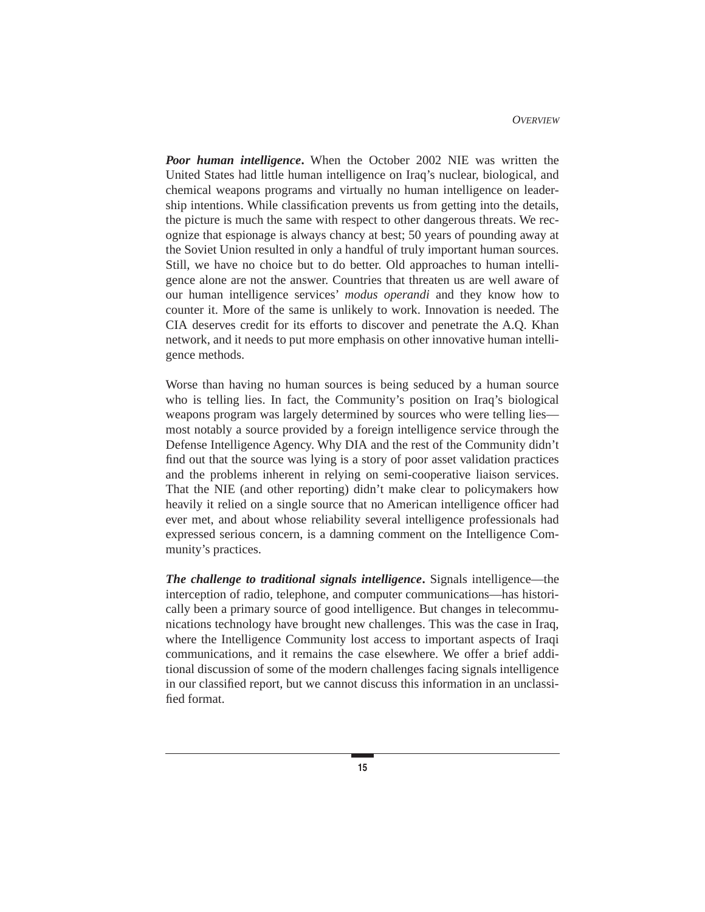*Poor human intelligence***.** When the October 2002 NIE was written the United States had little human intelligence on Iraq's nuclear, biological, and chemical weapons programs and virtually no human intelligence on leadership intentions. While classification prevents us from getting into the details, the picture is much the same with respect to other dangerous threats. We recognize that espionage is always chancy at best; 50 years of pounding away at the Soviet Union resulted in only a handful of truly important human sources. Still, we have no choice but to do better. Old approaches to human intelligence alone are not the answer. Countries that threaten us are well aware of our human intelligence services' *modus operandi* and they know how to counter it. More of the same is unlikely to work. Innovation is needed. The CIA deserves credit for its efforts to discover and penetrate the A.Q. Khan network, and it needs to put more emphasis on other innovative human intelligence methods.

Worse than having no human sources is being seduced by a human source who is telling lies. In fact, the Community's position on Iraq's biological weapons program was largely determined by sources who were telling lies most notably a source provided by a foreign intelligence service through the Defense Intelligence Agency. Why DIA and the rest of the Community didn't find out that the source was lying is a story of poor asset validation practices and the problems inherent in relying on semi-cooperative liaison services. That the NIE (and other reporting) didn't make clear to policymakers how heavily it relied on a single source that no American intelligence officer had ever met, and about whose reliability several intelligence professionals had expressed serious concern, is a damning comment on the Intelligence Community's practices.

*The challenge to traditional signals intelligence***.** Signals intelligence—the interception of radio, telephone, and computer communications—has historically been a primary source of good intelligence. But changes in telecommunications technology have brought new challenges. This was the case in Iraq, where the Intelligence Community lost access to important aspects of Iraqi communications, and it remains the case elsewhere. We offer a brief additional discussion of some of the modern challenges facing signals intelligence in our classified report, but we cannot discuss this information in an unclassified format.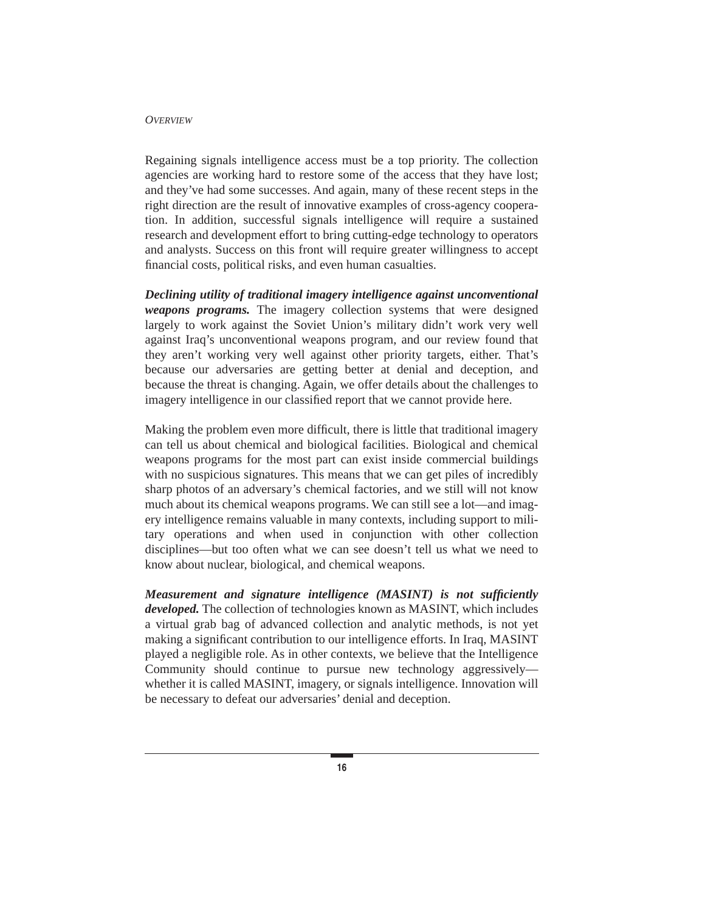Regaining signals intelligence access must be a top priority. The collection agencies are working hard to restore some of the access that they have lost; and they've had some successes. And again, many of these recent steps in the right direction are the result of innovative examples of cross-agency cooperation. In addition, successful signals intelligence will require a sustained research and development effort to bring cutting-edge technology to operators and analysts. Success on this front will require greater willingness to accept financial costs, political risks, and even human casualties.

*Declining utility of traditional imagery intelligence against unconventional weapons programs.* The imagery collection systems that were designed largely to work against the Soviet Union's military didn't work very well against Iraq's unconventional weapons program, and our review found that they aren't working very well against other priority targets, either. That's because our adversaries are getting better at denial and deception, and because the threat is changing. Again, we offer details about the challenges to imagery intelligence in our classified report that we cannot provide here.

Making the problem even more difficult, there is little that traditional imagery can tell us about chemical and biological facilities. Biological and chemical weapons programs for the most part can exist inside commercial buildings with no suspicious signatures. This means that we can get piles of incredibly sharp photos of an adversary's chemical factories, and we still will not know much about its chemical weapons programs. We can still see a lot—and imagery intelligence remains valuable in many contexts, including support to military operations and when used in conjunction with other collection disciplines—but too often what we can see doesn't tell us what we need to know about nuclear, biological, and chemical weapons.

*Measurement and signature intelligence (MASINT) is not sufficiently developed.* The collection of technologies known as MASINT, which includes a virtual grab bag of advanced collection and analytic methods, is not yet making a significant contribution to our intelligence efforts. In Iraq, MASINT played a negligible role. As in other contexts, we believe that the Intelligence Community should continue to pursue new technology aggressively whether it is called MASINT, imagery, or signals intelligence. Innovation will be necessary to defeat our adversaries' denial and deception.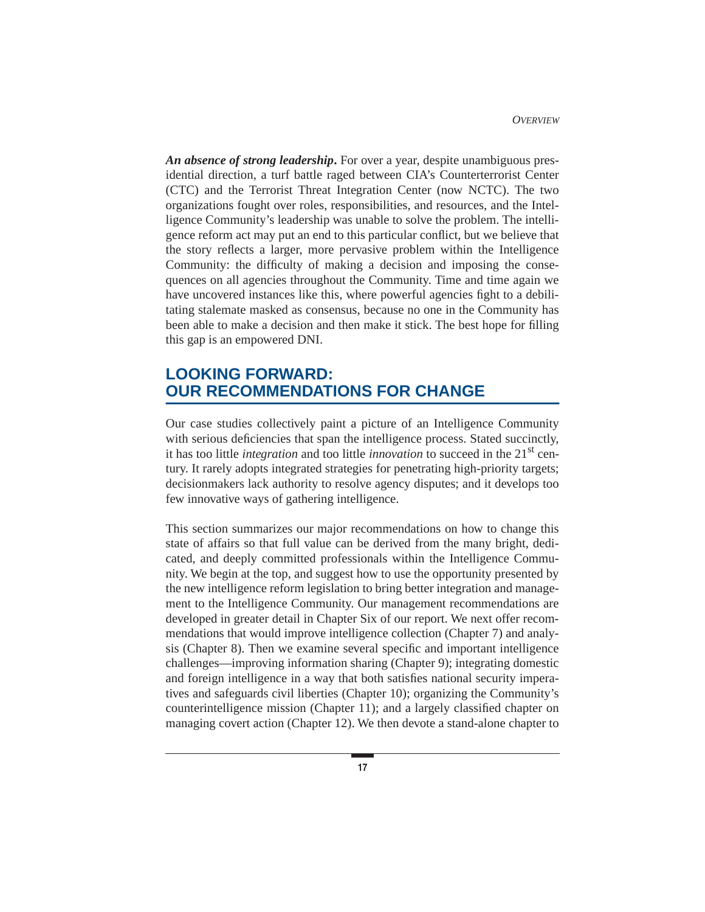*An absence of strong leadership***.** For over a year, despite unambiguous presidential direction, a turf battle raged between CIA's Counterterrorist Center (CTC) and the Terrorist Threat Integration Center (now NCTC). The two organizations fought over roles, responsibilities, and resources, and the Intelligence Community's leadership was unable to solve the problem. The intelligence reform act may put an end to this particular conflict, but we believe that the story reflects a larger, more pervasive problem within the Intelligence Community: the difficulty of making a decision and imposing the consequences on all agencies throughout the Community. Time and time again we have uncovered instances like this, where powerful agencies fight to a debilitating stalemate masked as consensus, because no one in the Community has been able to make a decision and then make it stick. The best hope for filling this gap is an empowered DNI.

# **LOOKING FORWARD: OUR RECOMMENDATIONS FOR CHANGE**

Our case studies collectively paint a picture of an Intelligence Community with serious deficiencies that span the intelligence process. Stated succinctly, it has too little *integration* and too little *innovation* to succeed in the 21st century. It rarely adopts integrated strategies for penetrating high-priority targets; decisionmakers lack authority to resolve agency disputes; and it develops too few innovative ways of gathering intelligence.

This section summarizes our major recommendations on how to change this state of affairs so that full value can be derived from the many bright, dedicated, and deeply committed professionals within the Intelligence Community. We begin at the top, and suggest how to use the opportunity presented by the new intelligence reform legislation to bring better integration and management to the Intelligence Community. Our management recommendations are developed in greater detail in Chapter Six of our report. We next offer recommendations that would improve intelligence collection (Chapter 7) and analysis (Chapter 8). Then we examine several specific and important intelligence challenges—improving information sharing (Chapter 9); integrating domestic and foreign intelligence in a way that both satisfies national security imperatives and safeguards civil liberties (Chapter 10); organizing the Community's counterintelligence mission (Chapter 11); and a largely classified chapter on managing covert action (Chapter 12). We then devote a stand-alone chapter to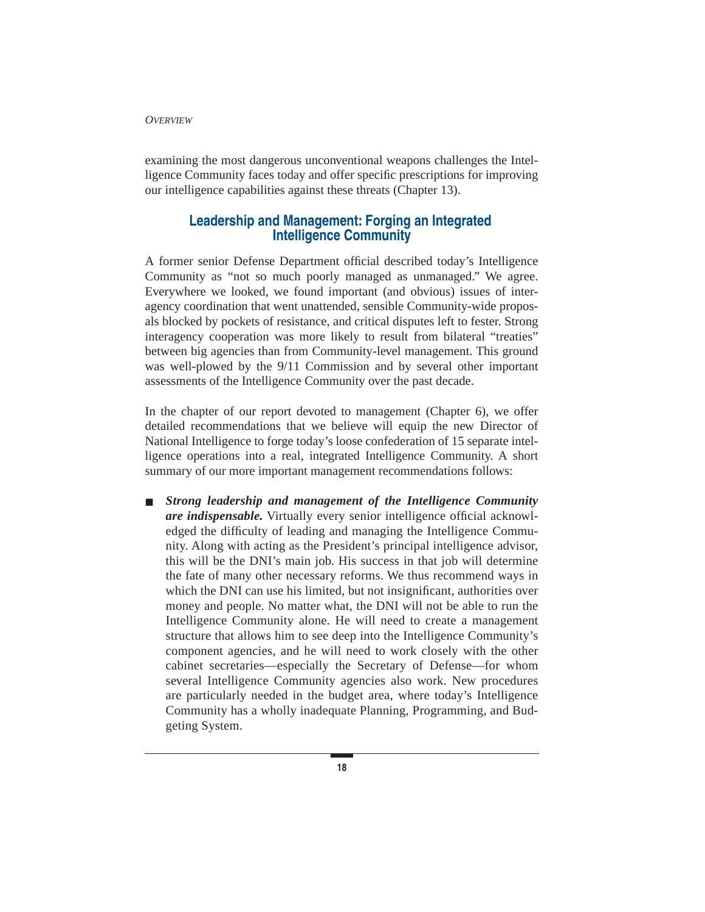examining the most dangerous unconventional weapons challenges the Intelligence Community faces today and offer specific prescriptions for improving our intelligence capabilities against these threats (Chapter 13).

### **Leadership and Management: Forging an Integrated Intelligence Community**

A former senior Defense Department official described today's Intelligence Community as "not so much poorly managed as unmanaged." We agree. Everywhere we looked, we found important (and obvious) issues of interagency coordination that went unattended, sensible Community-wide proposals blocked by pockets of resistance, and critical disputes left to fester. Strong interagency cooperation was more likely to result from bilateral "treaties" between big agencies than from Community-level management. This ground was well-plowed by the 9/11 Commission and by several other important assessments of the Intelligence Community over the past decade.

In the chapter of our report devoted to management (Chapter 6), we offer detailed recommendations that we believe will equip the new Director of National Intelligence to forge today's loose confederation of 15 separate intelligence operations into a real, integrated Intelligence Community. A short summary of our more important management recommendations follows:

■ *Strong leadership and management of the Intelligence Community are indispensable.* Virtually every senior intelligence official acknowledged the difficulty of leading and managing the Intelligence Community. Along with acting as the President's principal intelligence advisor, this will be the DNI's main job. His success in that job will determine the fate of many other necessary reforms. We thus recommend ways in which the DNI can use his limited, but not insignificant, authorities over money and people. No matter what, the DNI will not be able to run the Intelligence Community alone. He will need to create a management structure that allows him to see deep into the Intelligence Community's component agencies, and he will need to work closely with the other cabinet secretaries—especially the Secretary of Defense—for whom several Intelligence Community agencies also work. New procedures are particularly needed in the budget area, where today's Intelligence Community has a wholly inadequate Planning, Programming, and Budgeting System.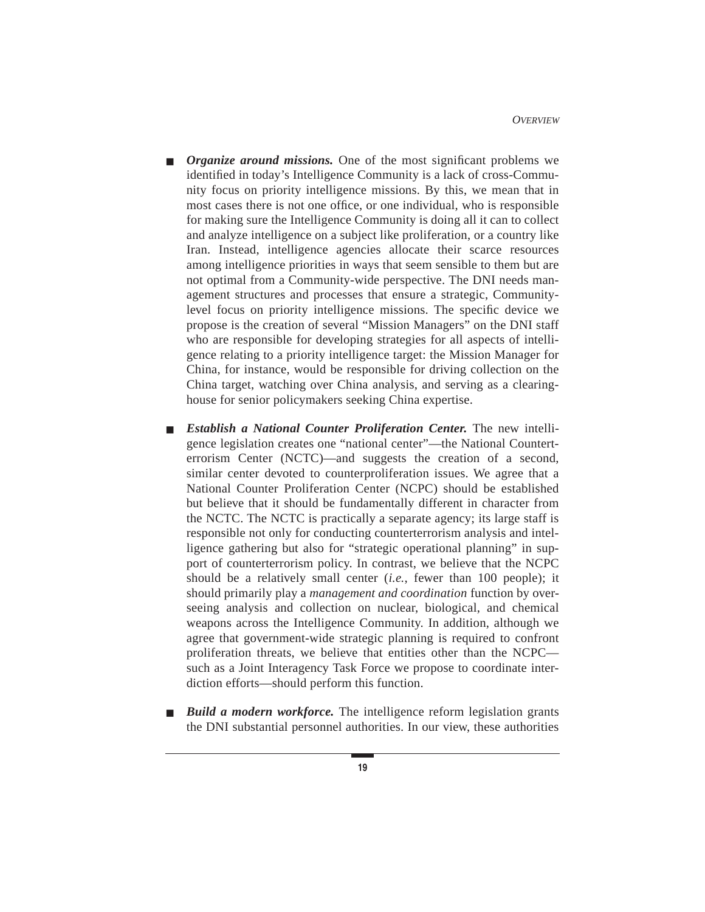- *Organize around missions.* One of the most significant problems we identified in today's Intelligence Community is a lack of cross-Community focus on priority intelligence missions. By this, we mean that in most cases there is not one office, or one individual, who is responsible for making sure the Intelligence Community is doing all it can to collect and analyze intelligence on a subject like proliferation, or a country like Iran. Instead, intelligence agencies allocate their scarce resources among intelligence priorities in ways that seem sensible to them but are not optimal from a Community-wide perspective. The DNI needs management structures and processes that ensure a strategic, Communitylevel focus on priority intelligence missions. The specific device we propose is the creation of several "Mission Managers" on the DNI staff who are responsible for developing strategies for all aspects of intelligence relating to a priority intelligence target: the Mission Manager for China, for instance, would be responsible for driving collection on the China target, watching over China analysis, and serving as a clearinghouse for senior policymakers seeking China expertise.
- *Establish a National Counter Proliferation Center.* **The new intelli**gence legislation creates one "national center"—the National Counterterrorism Center (NCTC)—and suggests the creation of a second, similar center devoted to counterproliferation issues. We agree that a National Counter Proliferation Center (NCPC) should be established but believe that it should be fundamentally different in character from the NCTC. The NCTC is practically a separate agency; its large staff is responsible not only for conducting counterterrorism analysis and intelligence gathering but also for "strategic operational planning" in support of counterterrorism policy. In contrast, we believe that the NCPC should be a relatively small center (*i.e.*, fewer than 100 people); it should primarily play a *management and coordination* function by overseeing analysis and collection on nuclear, biological, and chemical weapons across the Intelligence Community. In addition, although we agree that government-wide strategic planning is required to confront proliferation threats, we believe that entities other than the NCPC such as a Joint Interagency Task Force we propose to coordinate interdiction efforts—should perform this function.
- *Build a modern workforce*. The intelligence reform legislation grants the DNI substantial personnel authorities. In our view, these authorities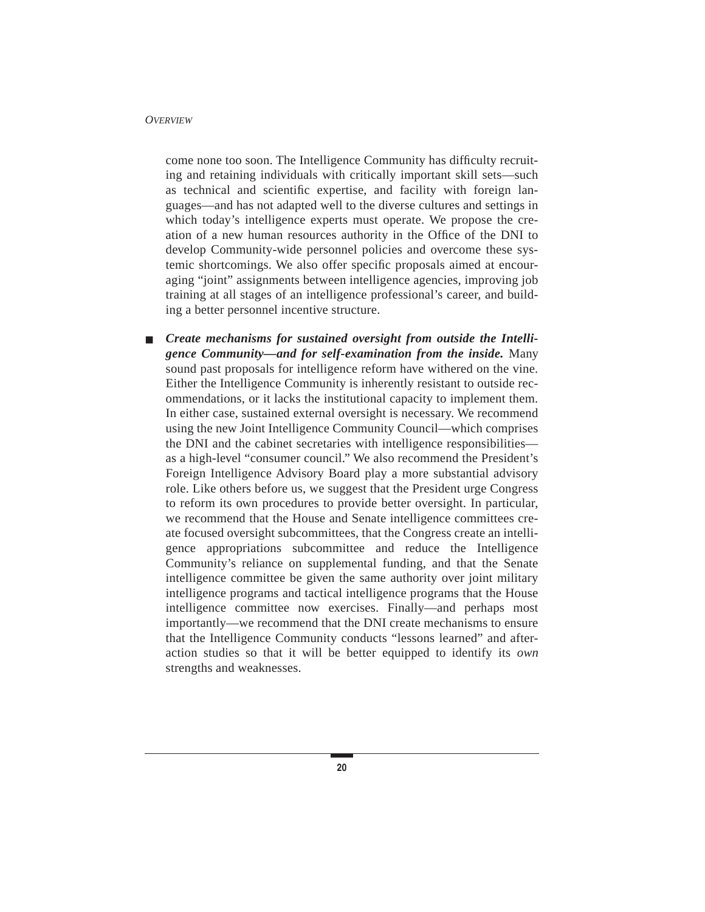come none too soon. The Intelligence Community has difficulty recruiting and retaining individuals with critically important skill sets—such as technical and scientific expertise, and facility with foreign languages—and has not adapted well to the diverse cultures and settings in which today's intelligence experts must operate. We propose the creation of a new human resources authority in the Office of the DNI to develop Community-wide personnel policies and overcome these systemic shortcomings. We also offer specific proposals aimed at encouraging "joint" assignments between intelligence agencies, improving job training at all stages of an intelligence professional's career, and building a better personnel incentive structure.

■ *Create mechanisms for sustained oversight from outside the Intelligence Community—and for self-examination from the inside.* Many sound past proposals for intelligence reform have withered on the vine. Either the Intelligence Community is inherently resistant to outside recommendations, or it lacks the institutional capacity to implement them. In either case, sustained external oversight is necessary. We recommend using the new Joint Intelligence Community Council—which comprises the DNI and the cabinet secretaries with intelligence responsibilities as a high-level "consumer council." We also recommend the President's Foreign Intelligence Advisory Board play a more substantial advisory role. Like others before us, we suggest that the President urge Congress to reform its own procedures to provide better oversight. In particular, we recommend that the House and Senate intelligence committees create focused oversight subcommittees, that the Congress create an intelligence appropriations subcommittee and reduce the Intelligence Community's reliance on supplemental funding, and that the Senate intelligence committee be given the same authority over joint military intelligence programs and tactical intelligence programs that the House intelligence committee now exercises. Finally—and perhaps most importantly—we recommend that the DNI create mechanisms to ensure that the Intelligence Community conducts "lessons learned" and afteraction studies so that it will be better equipped to identify its *own* strengths and weaknesses.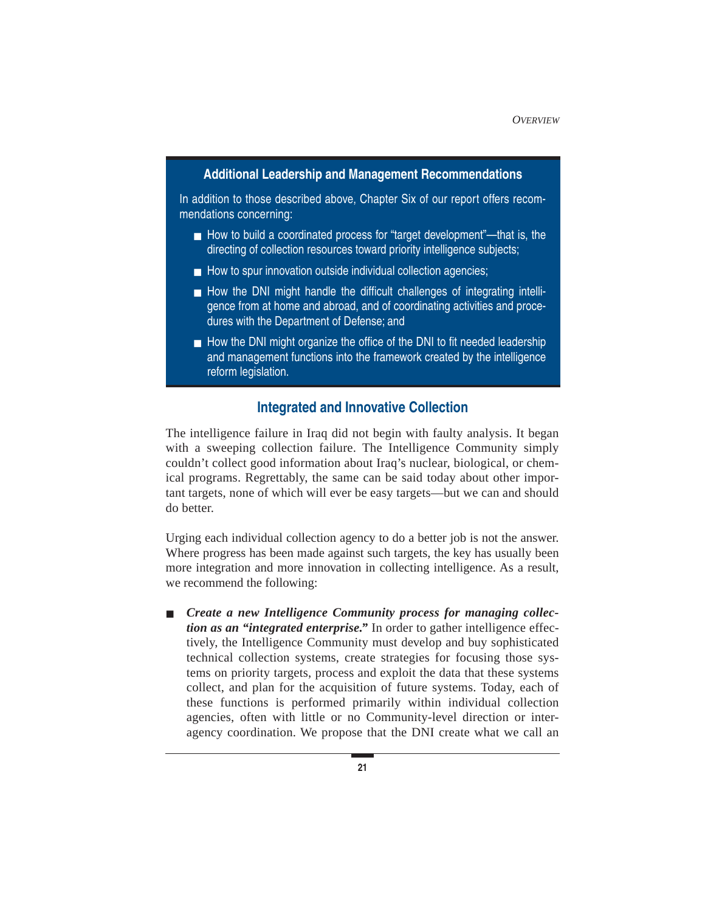### **Additional Leadership and Management Recommendations**

In addition to those described above, Chapter Six of our report offers recommendations concerning:

- How to build a coordinated process for "target development"—that is, the directing of collection resources toward priority intelligence subjects;
- How to spur innovation outside individual collection agencies;
- How the DNI might handle the difficult challenges of integrating intelligence from at home and abroad, and of coordinating activities and procedures with the Department of Defense; and
- How the DNI might organize the office of the DNI to fit needed leadership and management functions into the framework created by the intelligence reform legislation.

### **Integrated and Innovative Collection**

The intelligence failure in Iraq did not begin with faulty analysis. It began with a sweeping collection failure. The Intelligence Community simply couldn't collect good information about Iraq's nuclear, biological, or chemical programs. Regrettably, the same can be said today about other important targets, none of which will ever be easy targets—but we can and should do better.

Urging each individual collection agency to do a better job is not the answer. Where progress has been made against such targets, the key has usually been more integration and more innovation in collecting intelligence. As a result, we recommend the following:

■ *Create a new Intelligence Community process for managing collection as an "integrated enterprise."* In order to gather intelligence effectively, the Intelligence Community must develop and buy sophisticated technical collection systems, create strategies for focusing those systems on priority targets, process and exploit the data that these systems collect, and plan for the acquisition of future systems. Today, each of these functions is performed primarily within individual collection agencies, often with little or no Community-level direction or interagency coordination. We propose that the DNI create what we call an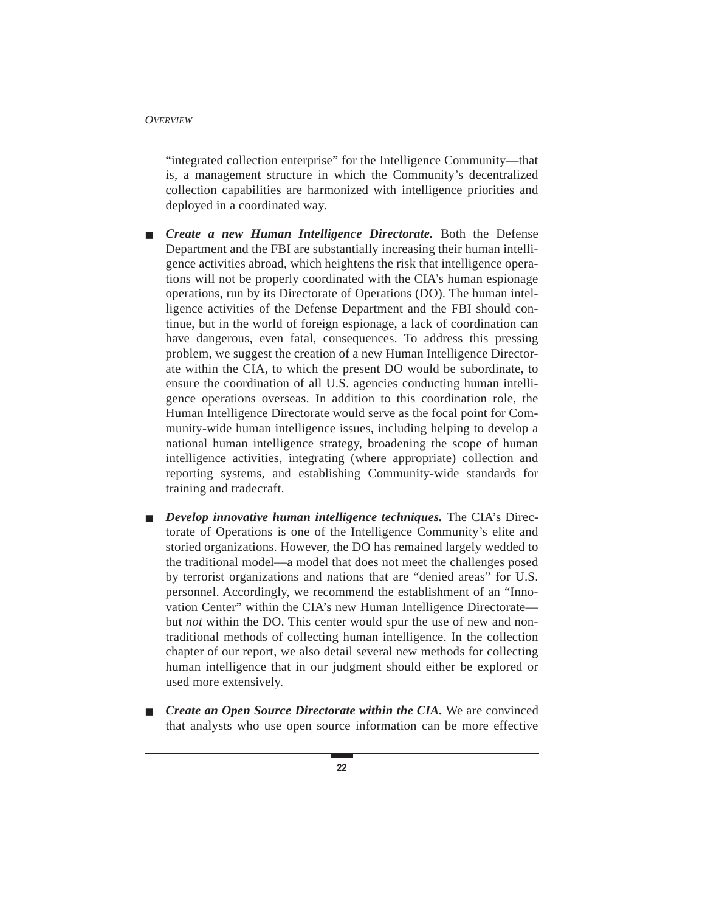"integrated collection enterprise" for the Intelligence Community—that is, a management structure in which the Community's decentralized collection capabilities are harmonized with intelligence priorities and deployed in a coordinated way.

- *Create a new Human Intelligence Directorate*. Both the Defense Department and the FBI are substantially increasing their human intelligence activities abroad, which heightens the risk that intelligence operations will not be properly coordinated with the CIA's human espionage operations, run by its Directorate of Operations (DO). The human intelligence activities of the Defense Department and the FBI should continue, but in the world of foreign espionage, a lack of coordination can have dangerous, even fatal, consequences. To address this pressing problem, we suggest the creation of a new Human Intelligence Directorate within the CIA, to which the present DO would be subordinate, to ensure the coordination of all U.S. agencies conducting human intelligence operations overseas. In addition to this coordination role, the Human Intelligence Directorate would serve as the focal point for Community-wide human intelligence issues, including helping to develop a national human intelligence strategy, broadening the scope of human intelligence activities, integrating (where appropriate) collection and reporting systems, and establishing Community-wide standards for training and tradecraft.
- *Develop innovative human intelligence techniques.* The CIA's Directorate of Operations is one of the Intelligence Community's elite and storied organizations. However, the DO has remained largely wedded to the traditional model—a model that does not meet the challenges posed by terrorist organizations and nations that are "denied areas" for U.S. personnel. Accordingly, we recommend the establishment of an "Innovation Center" within the CIA's new Human Intelligence Directorate but *not* within the DO. This center would spur the use of new and nontraditional methods of collecting human intelligence. In the collection chapter of our report, we also detail several new methods for collecting human intelligence that in our judgment should either be explored or used more extensively.
- *Create an Open Source Directorate within the CIA.* We are convinced that analysts who use open source information can be more effective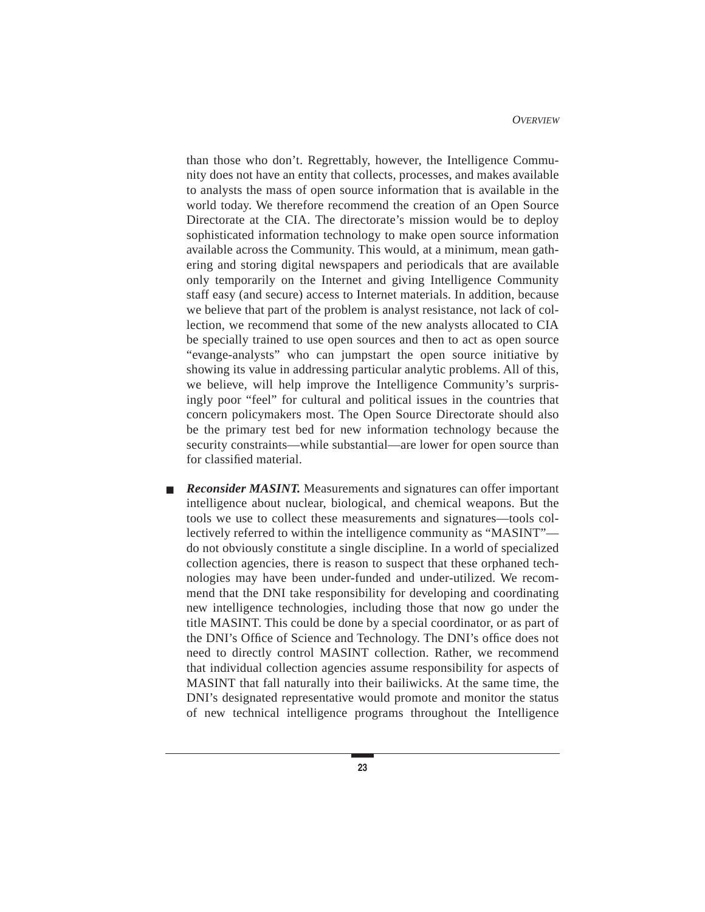than those who don't. Regrettably, however, the Intelligence Community does not have an entity that collects, processes, and makes available to analysts the mass of open source information that is available in the world today. We therefore recommend the creation of an Open Source Directorate at the CIA. The directorate's mission would be to deploy sophisticated information technology to make open source information available across the Community. This would, at a minimum, mean gathering and storing digital newspapers and periodicals that are available only temporarily on the Internet and giving Intelligence Community staff easy (and secure) access to Internet materials. In addition, because we believe that part of the problem is analyst resistance, not lack of collection, we recommend that some of the new analysts allocated to CIA be specially trained to use open sources and then to act as open source "evange-analysts" who can jumpstart the open source initiative by showing its value in addressing particular analytic problems. All of this, we believe, will help improve the Intelligence Community's surprisingly poor "feel" for cultural and political issues in the countries that concern policymakers most. The Open Source Directorate should also be the primary test bed for new information technology because the security constraints—while substantial—are lower for open source than for classified material.

■ *Reconsider MASINT*. Measurements and signatures can offer important intelligence about nuclear, biological, and chemical weapons. But the tools we use to collect these measurements and signatures—tools collectively referred to within the intelligence community as "MASINT" do not obviously constitute a single discipline. In a world of specialized collection agencies, there is reason to suspect that these orphaned technologies may have been under-funded and under-utilized. We recommend that the DNI take responsibility for developing and coordinating new intelligence technologies, including those that now go under the title MASINT. This could be done by a special coordinator, or as part of the DNI's Office of Science and Technology. The DNI's office does not need to directly control MASINT collection. Rather, we recommend that individual collection agencies assume responsibility for aspects of MASINT that fall naturally into their bailiwicks. At the same time, the DNI's designated representative would promote and monitor the status of new technical intelligence programs throughout the Intelligence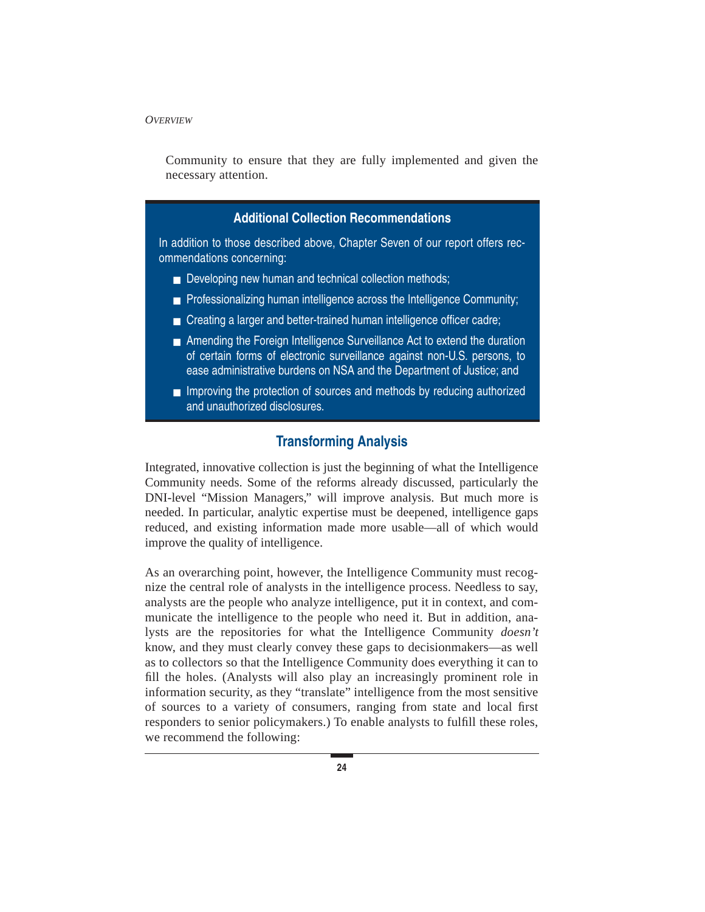Community to ensure that they are fully implemented and given the necessary attention.

### **Additional Collection Recommendations**

In addition to those described above, Chapter Seven of our report offers recommendations concerning:

- Developing new human and technical collection methods;
- Professionalizing human intelligence across the Intelligence Community;
- Creating a larger and better-trained human intelligence officer cadre;
- Amending the Foreign Intelligence Surveillance Act to extend the duration of certain forms of electronic surveillance against non-U.S. persons, to ease administrative burdens on NSA and the Department of Justice; and
- Improving the protection of sources and methods by reducing authorized and unauthorized disclosures.

### **Transforming Analysis**

Integrated, innovative collection is just the beginning of what the Intelligence Community needs. Some of the reforms already discussed, particularly the DNI-level "Mission Managers," will improve analysis. But much more is needed. In particular, analytic expertise must be deepened, intelligence gaps reduced, and existing information made more usable—all of which would improve the quality of intelligence.

As an overarching point, however, the Intelligence Community must recognize the central role of analysts in the intelligence process. Needless to say, analysts are the people who analyze intelligence, put it in context, and communicate the intelligence to the people who need it. But in addition, analysts are the repositories for what the Intelligence Community *doesn't* know, and they must clearly convey these gaps to decisionmakers—as well as to collectors so that the Intelligence Community does everything it can to fill the holes. (Analysts will also play an increasingly prominent role in information security, as they "translate" intelligence from the most sensitive of sources to a variety of consumers, ranging from state and local first responders to senior policymakers.) To enable analysts to fulfill these roles, we recommend the following: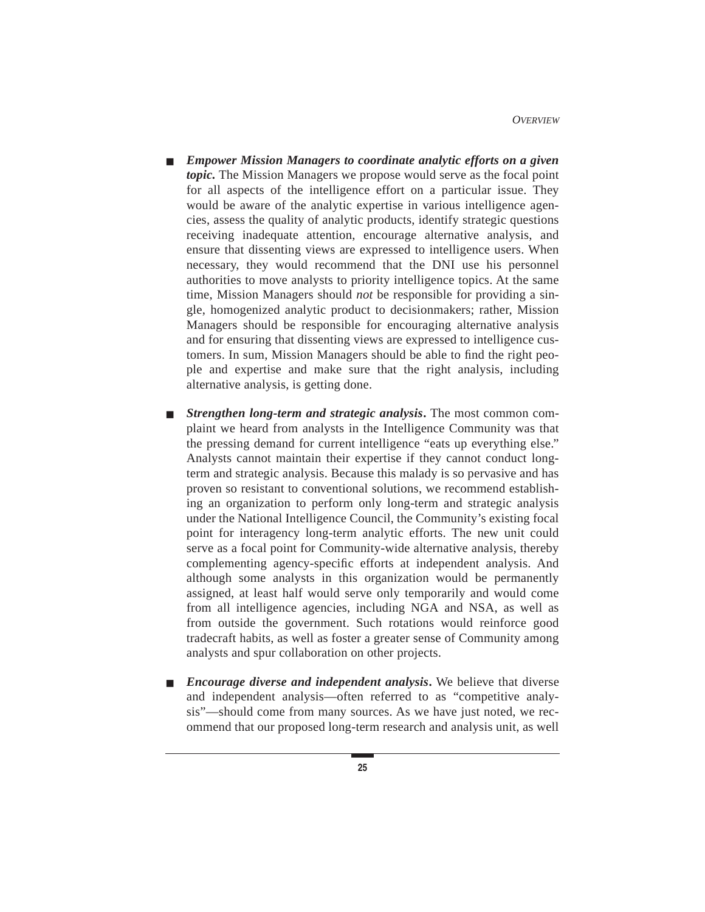- *Empower Mission Managers to coordinate analytic efforts on a given topic.* The Mission Managers we propose would serve as the focal point for all aspects of the intelligence effort on a particular issue. They would be aware of the analytic expertise in various intelligence agencies, assess the quality of analytic products, identify strategic questions receiving inadequate attention, encourage alternative analysis, and ensure that dissenting views are expressed to intelligence users. When necessary, they would recommend that the DNI use his personnel authorities to move analysts to priority intelligence topics. At the same time, Mission Managers should *not* be responsible for providing a single, homogenized analytic product to decisionmakers; rather, Mission Managers should be responsible for encouraging alternative analysis and for ensuring that dissenting views are expressed to intelligence customers. In sum, Mission Managers should be able to find the right people and expertise and make sure that the right analysis, including alternative analysis, is getting done.
- *Strengthen long-term and strategic analysis***.** The most common complaint we heard from analysts in the Intelligence Community was that the pressing demand for current intelligence "eats up everything else." Analysts cannot maintain their expertise if they cannot conduct longterm and strategic analysis. Because this malady is so pervasive and has proven so resistant to conventional solutions, we recommend establishing an organization to perform only long-term and strategic analysis under the National Intelligence Council, the Community's existing focal point for interagency long-term analytic efforts. The new unit could serve as a focal point for Community-wide alternative analysis, thereby complementing agency-specific efforts at independent analysis. And although some analysts in this organization would be permanently assigned, at least half would serve only temporarily and would come from all intelligence agencies, including NGA and NSA, as well as from outside the government. Such rotations would reinforce good tradecraft habits, as well as foster a greater sense of Community among analysts and spur collaboration on other projects.
- *Encourage diverse and independent analysis*. We believe that diverse and independent analysis—often referred to as "competitive analysis"—should come from many sources. As we have just noted, we recommend that our proposed long-term research and analysis unit, as well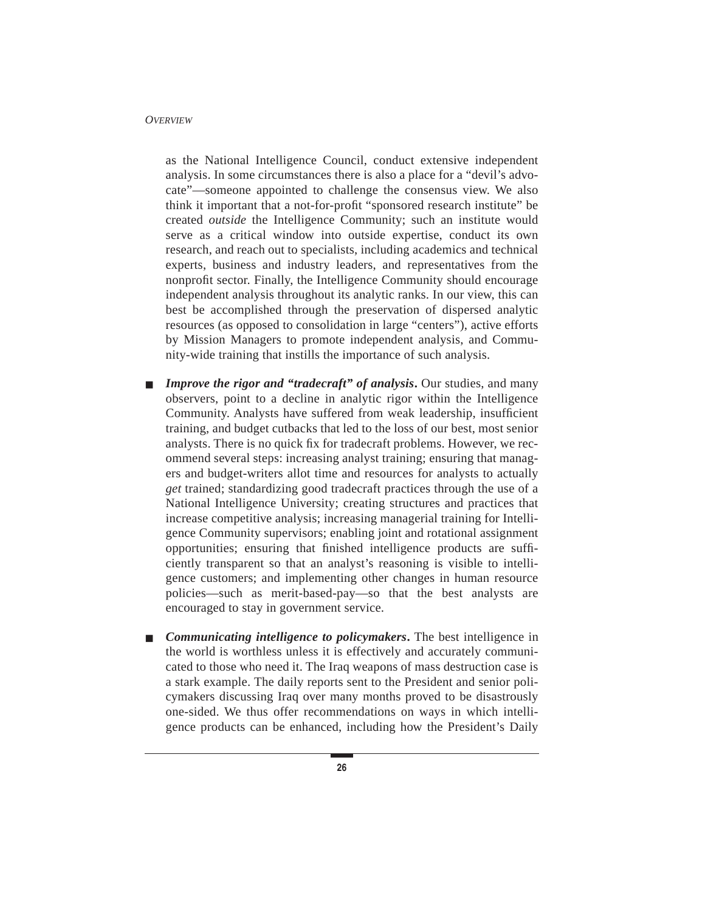as the National Intelligence Council, conduct extensive independent analysis. In some circumstances there is also a place for a "devil's advocate"—someone appointed to challenge the consensus view. We also think it important that a not-for-profit "sponsored research institute" be created *outside* the Intelligence Community; such an institute would serve as a critical window into outside expertise, conduct its own research, and reach out to specialists, including academics and technical experts, business and industry leaders, and representatives from the nonprofit sector. Finally, the Intelligence Community should encourage independent analysis throughout its analytic ranks. In our view, this can best be accomplished through the preservation of dispersed analytic resources (as opposed to consolidation in large "centers"), active efforts by Mission Managers to promote independent analysis, and Community-wide training that instills the importance of such analysis.

- *Improve the rigor and "tradecraft" of analysis***.** Our studies, and many observers, point to a decline in analytic rigor within the Intelligence Community. Analysts have suffered from weak leadership, insufficient training, and budget cutbacks that led to the loss of our best, most senior analysts. There is no quick fix for tradecraft problems. However, we recommend several steps: increasing analyst training; ensuring that managers and budget-writers allot time and resources for analysts to actually *get* trained; standardizing good tradecraft practices through the use of a National Intelligence University; creating structures and practices that increase competitive analysis; increasing managerial training for Intelligence Community supervisors; enabling joint and rotational assignment opportunities; ensuring that finished intelligence products are sufficiently transparent so that an analyst's reasoning is visible to intelligence customers; and implementing other changes in human resource policies—such as merit-based-pay—so that the best analysts are encouraged to stay in government service.
- *Communicating intelligence to policymakers***.** The best intelligence in the world is worthless unless it is effectively and accurately communicated to those who need it. The Iraq weapons of mass destruction case is a stark example. The daily reports sent to the President and senior policymakers discussing Iraq over many months proved to be disastrously one-sided. We thus offer recommendations on ways in which intelligence products can be enhanced, including how the President's Daily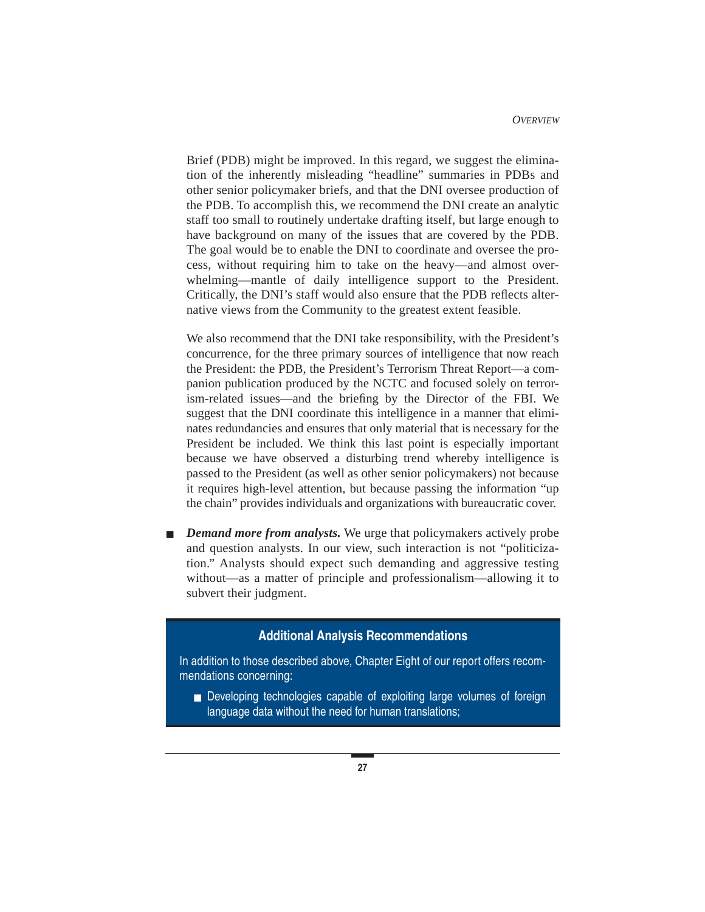Brief (PDB) might be improved. In this regard, we suggest the elimination of the inherently misleading "headline" summaries in PDBs and other senior policymaker briefs, and that the DNI oversee production of the PDB. To accomplish this, we recommend the DNI create an analytic staff too small to routinely undertake drafting itself, but large enough to have background on many of the issues that are covered by the PDB. The goal would be to enable the DNI to coordinate and oversee the process, without requiring him to take on the heavy—and almost overwhelming—mantle of daily intelligence support to the President. Critically, the DNI's staff would also ensure that the PDB reflects alternative views from the Community to the greatest extent feasible.

We also recommend that the DNI take responsibility, with the President's concurrence, for the three primary sources of intelligence that now reach the President: the PDB, the President's Terrorism Threat Report—a companion publication produced by the NCTC and focused solely on terrorism-related issues—and the briefing by the Director of the FBI. We suggest that the DNI coordinate this intelligence in a manner that eliminates redundancies and ensures that only material that is necessary for the President be included. We think this last point is especially important because we have observed a disturbing trend whereby intelligence is passed to the President (as well as other senior policymakers) not because it requires high-level attention, but because passing the information "up the chain" provides individuals and organizations with bureaucratic cover.

*Demand more from analysts.* We urge that policymakers actively probe and question analysts. In our view, such interaction is not "politicization." Analysts should expect such demanding and aggressive testing without—as a matter of principle and professionalism—allowing it to subvert their judgment.

### **Additional Analysis Recommendations**

In addition to those described above, Chapter Eight of our report offers recommendations concerning:

■ Developing technologies capable of exploiting large volumes of foreign language data without the need for human translations;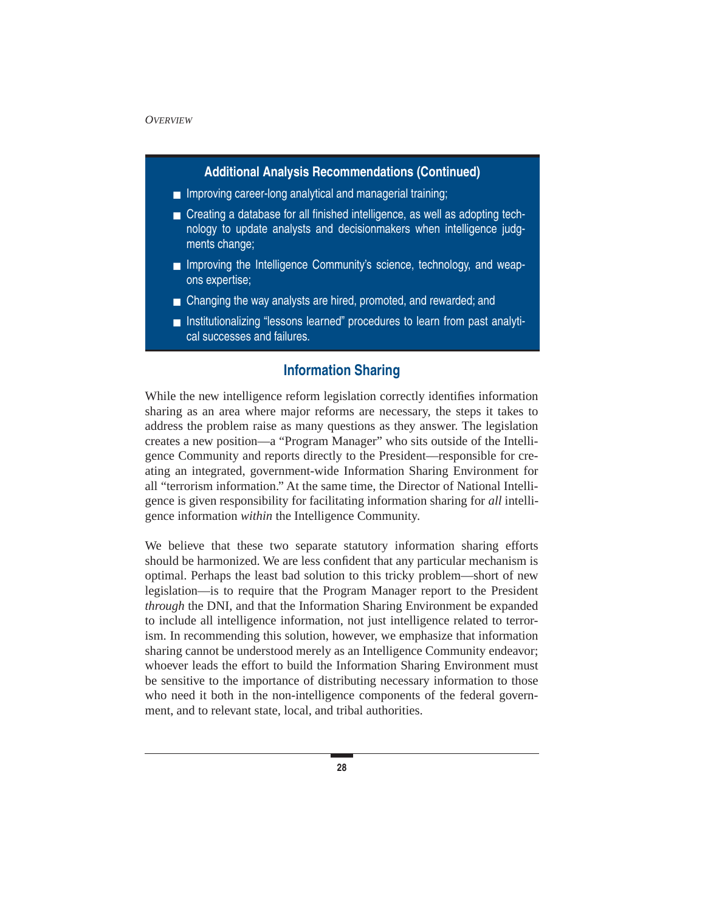

### **Information Sharing**

While the new intelligence reform legislation correctly identifies information sharing as an area where major reforms are necessary, the steps it takes to address the problem raise as many questions as they answer. The legislation creates a new position—a "Program Manager" who sits outside of the Intelligence Community and reports directly to the President—responsible for creating an integrated, government-wide Information Sharing Environment for all "terrorism information." At the same time, the Director of National Intelligence is given responsibility for facilitating information sharing for *all* intelligence information *within* the Intelligence Community.

We believe that these two separate statutory information sharing efforts should be harmonized. We are less confident that any particular mechanism is optimal. Perhaps the least bad solution to this tricky problem—short of new legislation—is to require that the Program Manager report to the President *through* the DNI, and that the Information Sharing Environment be expanded to include all intelligence information, not just intelligence related to terrorism. In recommending this solution, however, we emphasize that information sharing cannot be understood merely as an Intelligence Community endeavor; whoever leads the effort to build the Information Sharing Environment must be sensitive to the importance of distributing necessary information to those who need it both in the non-intelligence components of the federal government, and to relevant state, local, and tribal authorities.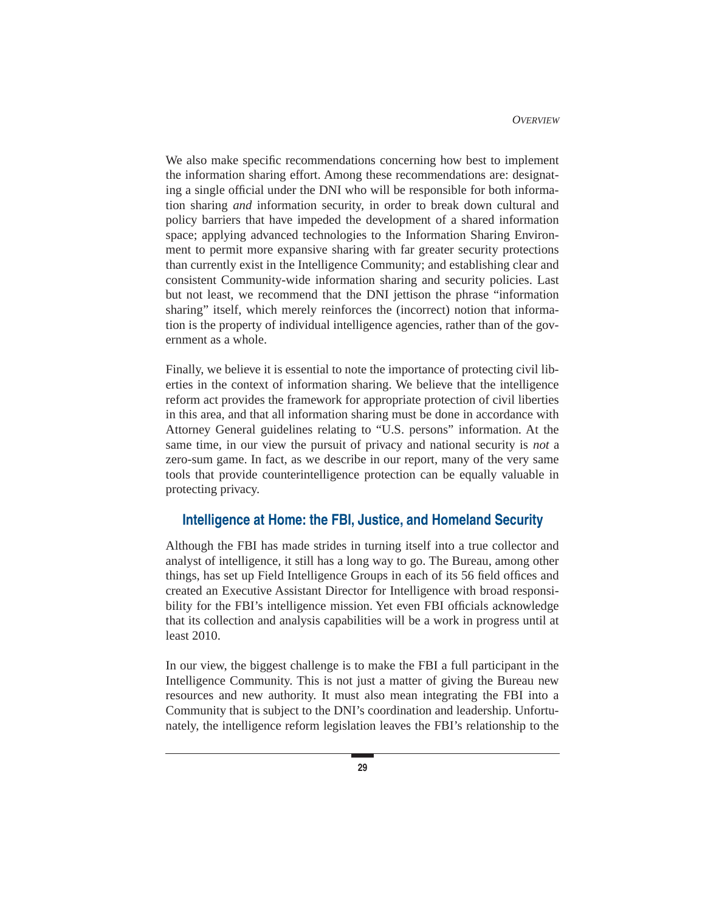We also make specific recommendations concerning how best to implement the information sharing effort. Among these recommendations are: designating a single official under the DNI who will be responsible for both information sharing *and* information security, in order to break down cultural and policy barriers that have impeded the development of a shared information space; applying advanced technologies to the Information Sharing Environment to permit more expansive sharing with far greater security protections than currently exist in the Intelligence Community; and establishing clear and consistent Community-wide information sharing and security policies. Last but not least, we recommend that the DNI jettison the phrase "information sharing" itself, which merely reinforces the (incorrect) notion that information is the property of individual intelligence agencies, rather than of the government as a whole.

Finally, we believe it is essential to note the importance of protecting civil liberties in the context of information sharing. We believe that the intelligence reform act provides the framework for appropriate protection of civil liberties in this area, and that all information sharing must be done in accordance with Attorney General guidelines relating to "U.S. persons" information. At the same time, in our view the pursuit of privacy and national security is *not* a zero-sum game. In fact, as we describe in our report, many of the very same tools that provide counterintelligence protection can be equally valuable in protecting privacy.

### **Intelligence at Home: the FBI, Justice, and Homeland Security**

Although the FBI has made strides in turning itself into a true collector and analyst of intelligence, it still has a long way to go. The Bureau, among other things, has set up Field Intelligence Groups in each of its 56 field offices and created an Executive Assistant Director for Intelligence with broad responsibility for the FBI's intelligence mission. Yet even FBI officials acknowledge that its collection and analysis capabilities will be a work in progress until at least 2010.

In our view, the biggest challenge is to make the FBI a full participant in the Intelligence Community. This is not just a matter of giving the Bureau new resources and new authority. It must also mean integrating the FBI into a Community that is subject to the DNI's coordination and leadership. Unfortunately, the intelligence reform legislation leaves the FBI's relationship to the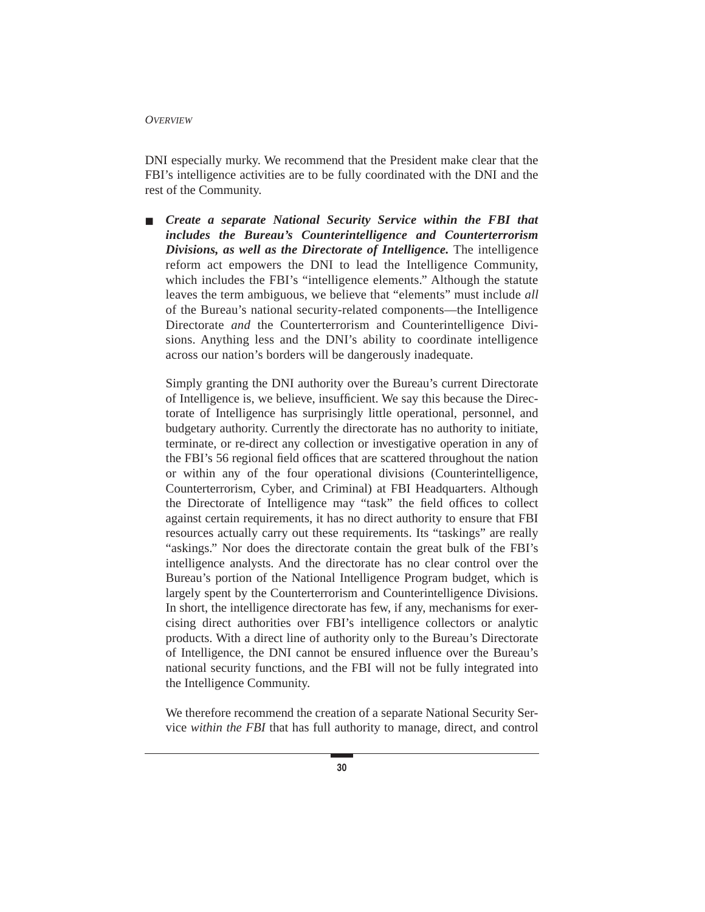DNI especially murky. We recommend that the President make clear that the FBI's intelligence activities are to be fully coordinated with the DNI and the rest of the Community.

■ *Create a separate National Security Service within the FBI that includes the Bureau's Counterintelligence and Counterterrorism Divisions, as well as the Directorate of Intelligence.* The intelligence reform act empowers the DNI to lead the Intelligence Community, which includes the FBI's "intelligence elements." Although the statute leaves the term ambiguous, we believe that "elements" must include *all* of the Bureau's national security-related components—the Intelligence Directorate *and* the Counterterrorism and Counterintelligence Divisions. Anything less and the DNI's ability to coordinate intelligence across our nation's borders will be dangerously inadequate.

Simply granting the DNI authority over the Bureau's current Directorate of Intelligence is, we believe, insufficient. We say this because the Directorate of Intelligence has surprisingly little operational, personnel, and budgetary authority. Currently the directorate has no authority to initiate, terminate, or re-direct any collection or investigative operation in any of the FBI's 56 regional field offices that are scattered throughout the nation or within any of the four operational divisions (Counterintelligence, Counterterrorism, Cyber, and Criminal) at FBI Headquarters. Although the Directorate of Intelligence may "task" the field offices to collect against certain requirements, it has no direct authority to ensure that FBI resources actually carry out these requirements. Its "taskings" are really "askings." Nor does the directorate contain the great bulk of the FBI's intelligence analysts. And the directorate has no clear control over the Bureau's portion of the National Intelligence Program budget, which is largely spent by the Counterterrorism and Counterintelligence Divisions. In short, the intelligence directorate has few, if any, mechanisms for exercising direct authorities over FBI's intelligence collectors or analytic products. With a direct line of authority only to the Bureau's Directorate of Intelligence, the DNI cannot be ensured influence over the Bureau's national security functions, and the FBI will not be fully integrated into the Intelligence Community.

We therefore recommend the creation of a separate National Security Service *within the FBI* that has full authority to manage, direct, and control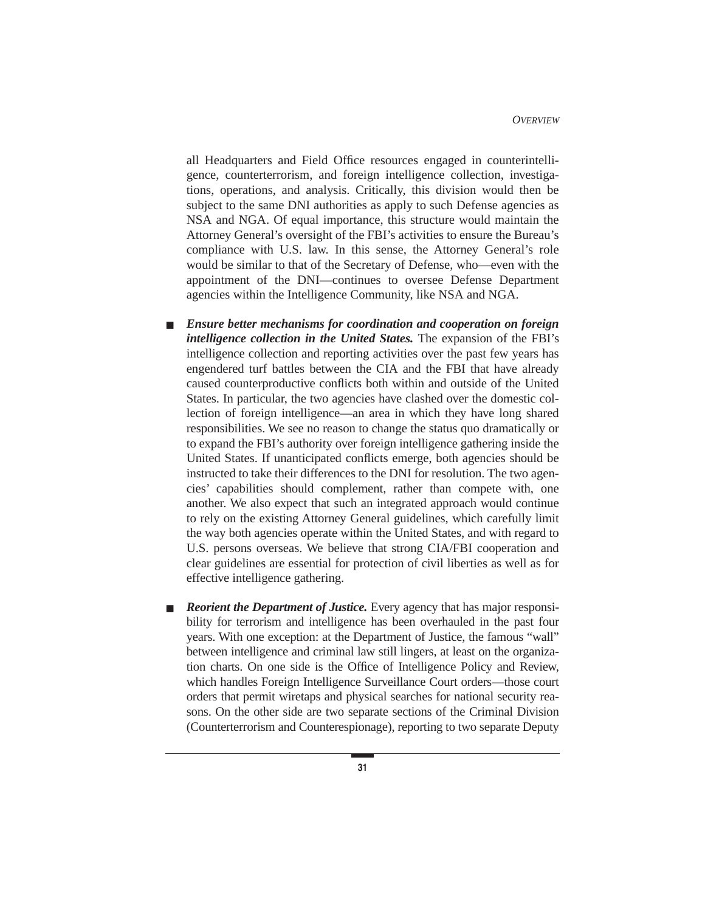all Headquarters and Field Office resources engaged in counterintelligence, counterterrorism, and foreign intelligence collection, investigations, operations, and analysis. Critically, this division would then be subject to the same DNI authorities as apply to such Defense agencies as NSA and NGA. Of equal importance, this structure would maintain the Attorney General's oversight of the FBI's activities to ensure the Bureau's compliance with U.S. law. In this sense, the Attorney General's role would be similar to that of the Secretary of Defense, who—even with the appointment of the DNI—continues to oversee Defense Department agencies within the Intelligence Community, like NSA and NGA.

- *Ensure better mechanisms for coordination and cooperation on foreign intelligence collection in the United States.* The expansion of the FBI's intelligence collection and reporting activities over the past few years has engendered turf battles between the CIA and the FBI that have already caused counterproductive conflicts both within and outside of the United States. In particular, the two agencies have clashed over the domestic collection of foreign intelligence—an area in which they have long shared responsibilities. We see no reason to change the status quo dramatically or to expand the FBI's authority over foreign intelligence gathering inside the United States. If unanticipated conflicts emerge, both agencies should be instructed to take their differences to the DNI for resolution. The two agencies' capabilities should complement, rather than compete with, one another. We also expect that such an integrated approach would continue to rely on the existing Attorney General guidelines, which carefully limit the way both agencies operate within the United States, and with regard to U.S. persons overseas. We believe that strong CIA/FBI cooperation and clear guidelines are essential for protection of civil liberties as well as for effective intelligence gathering.
- *Reorient the Department of Justice.* Every agency that has major responsibility for terrorism and intelligence has been overhauled in the past four years. With one exception: at the Department of Justice, the famous "wall" between intelligence and criminal law still lingers, at least on the organization charts. On one side is the Office of Intelligence Policy and Review, which handles Foreign Intelligence Surveillance Court orders—those court orders that permit wiretaps and physical searches for national security reasons. On the other side are two separate sections of the Criminal Division (Counterterrorism and Counterespionage), reporting to two separate Deputy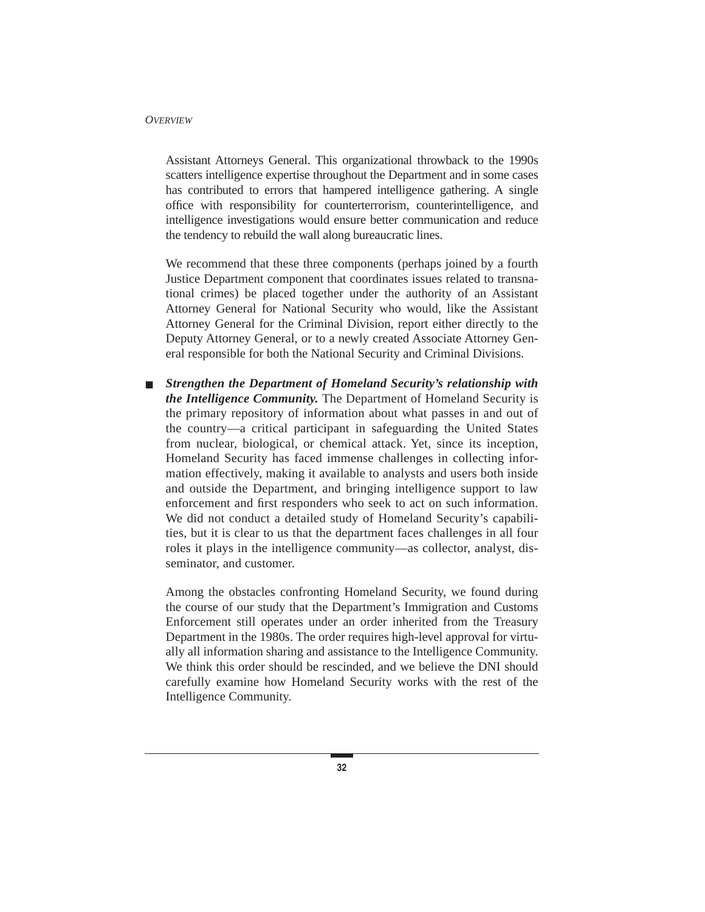Assistant Attorneys General. This organizational throwback to the 1990s scatters intelligence expertise throughout the Department and in some cases has contributed to errors that hampered intelligence gathering. A single office with responsibility for counterterrorism, counterintelligence, and intelligence investigations would ensure better communication and reduce the tendency to rebuild the wall along bureaucratic lines.

We recommend that these three components (perhaps joined by a fourth Justice Department component that coordinates issues related to transnational crimes) be placed together under the authority of an Assistant Attorney General for National Security who would, like the Assistant Attorney General for the Criminal Division, report either directly to the Deputy Attorney General, or to a newly created Associate Attorney General responsible for both the National Security and Criminal Divisions.

■ *Strengthen the Department of Homeland Security's relationship with the Intelligence Community.* The Department of Homeland Security is the primary repository of information about what passes in and out of the country—a critical participant in safeguarding the United States from nuclear, biological, or chemical attack. Yet, since its inception, Homeland Security has faced immense challenges in collecting information effectively, making it available to analysts and users both inside and outside the Department, and bringing intelligence support to law enforcement and first responders who seek to act on such information. We did not conduct a detailed study of Homeland Security's capabilities, but it is clear to us that the department faces challenges in all four roles it plays in the intelligence community—as collector, analyst, disseminator, and customer.

Among the obstacles confronting Homeland Security, we found during the course of our study that the Department's Immigration and Customs Enforcement still operates under an order inherited from the Treasury Department in the 1980s. The order requires high-level approval for virtually all information sharing and assistance to the Intelligence Community. We think this order should be rescinded, and we believe the DNI should carefully examine how Homeland Security works with the rest of the Intelligence Community.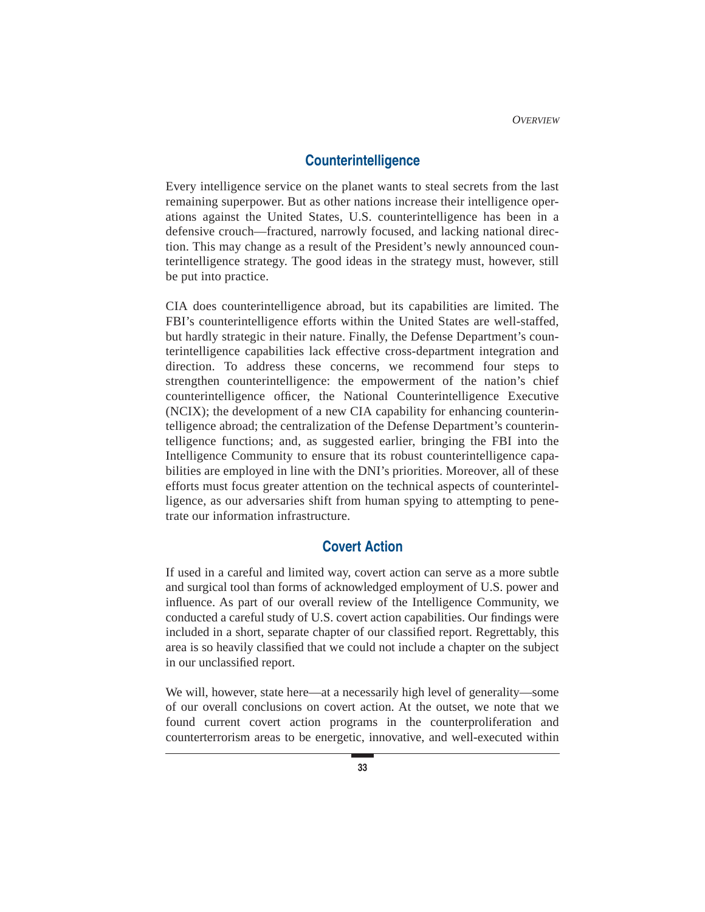### **Counterintelligence**

Every intelligence service on the planet wants to steal secrets from the last remaining superpower. But as other nations increase their intelligence operations against the United States, U.S. counterintelligence has been in a defensive crouch—fractured, narrowly focused, and lacking national direction. This may change as a result of the President's newly announced counterintelligence strategy. The good ideas in the strategy must, however, still be put into practice.

CIA does counterintelligence abroad, but its capabilities are limited. The FBI's counterintelligence efforts within the United States are well-staffed, but hardly strategic in their nature. Finally, the Defense Department's counterintelligence capabilities lack effective cross-department integration and direction. To address these concerns, we recommend four steps to strengthen counterintelligence: the empowerment of the nation's chief counterintelligence officer, the National Counterintelligence Executive (NCIX); the development of a new CIA capability for enhancing counterintelligence abroad; the centralization of the Defense Department's counterintelligence functions; and, as suggested earlier, bringing the FBI into the Intelligence Community to ensure that its robust counterintelligence capabilities are employed in line with the DNI's priorities. Moreover, all of these efforts must focus greater attention on the technical aspects of counterintelligence, as our adversaries shift from human spying to attempting to penetrate our information infrastructure.

### **Covert Action**

If used in a careful and limited way, covert action can serve as a more subtle and surgical tool than forms of acknowledged employment of U.S. power and influence. As part of our overall review of the Intelligence Community, we conducted a careful study of U.S. covert action capabilities. Our findings were included in a short, separate chapter of our classified report. Regrettably, this area is so heavily classified that we could not include a chapter on the subject in our unclassified report.

We will, however, state here—at a necessarily high level of generality—some of our overall conclusions on covert action. At the outset, we note that we found current covert action programs in the counterproliferation and counterterrorism areas to be energetic, innovative, and well-executed within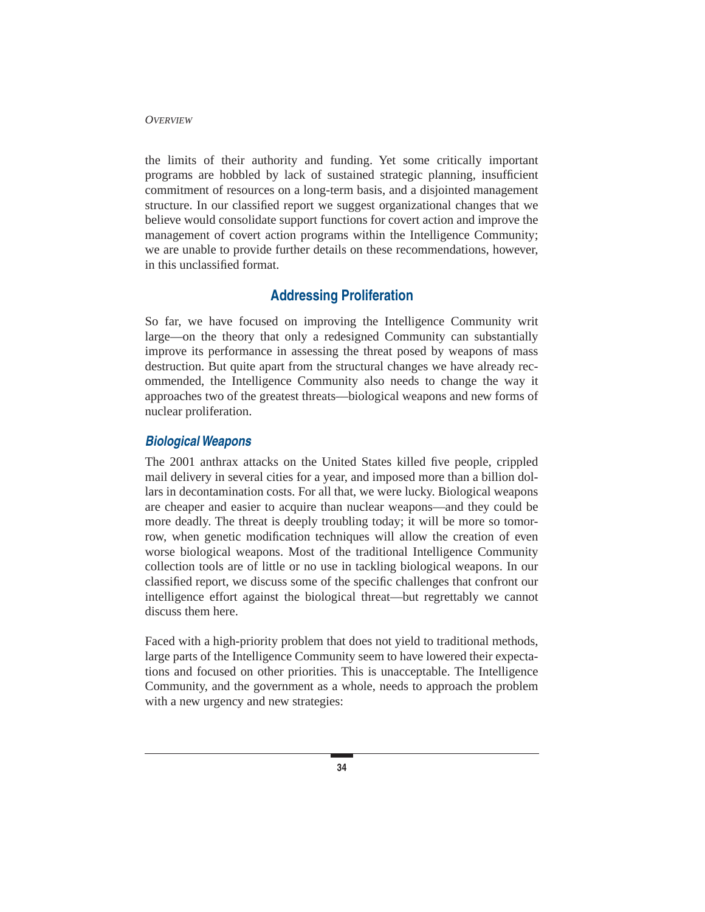the limits of their authority and funding. Yet some critically important programs are hobbled by lack of sustained strategic planning, insufficient commitment of resources on a long-term basis, and a disjointed management structure. In our classified report we suggest organizational changes that we believe would consolidate support functions for covert action and improve the management of covert action programs within the Intelligence Community; we are unable to provide further details on these recommendations, however, in this unclassified format.

### **Addressing Proliferation**

So far, we have focused on improving the Intelligence Community writ large—on the theory that only a redesigned Community can substantially improve its performance in assessing the threat posed by weapons of mass destruction. But quite apart from the structural changes we have already recommended, the Intelligence Community also needs to change the way it approaches two of the greatest threats—biological weapons and new forms of nuclear proliferation.

#### *Biological Weapons*

The 2001 anthrax attacks on the United States killed five people, crippled mail delivery in several cities for a year, and imposed more than a billion dollars in decontamination costs. For all that, we were lucky. Biological weapons are cheaper and easier to acquire than nuclear weapons—and they could be more deadly. The threat is deeply troubling today; it will be more so tomorrow, when genetic modification techniques will allow the creation of even worse biological weapons. Most of the traditional Intelligence Community collection tools are of little or no use in tackling biological weapons. In our classified report, we discuss some of the specific challenges that confront our intelligence effort against the biological threat—but regrettably we cannot discuss them here.

Faced with a high-priority problem that does not yield to traditional methods, large parts of the Intelligence Community seem to have lowered their expectations and focused on other priorities. This is unacceptable. The Intelligence Community, and the government as a whole, needs to approach the problem with a new urgency and new strategies: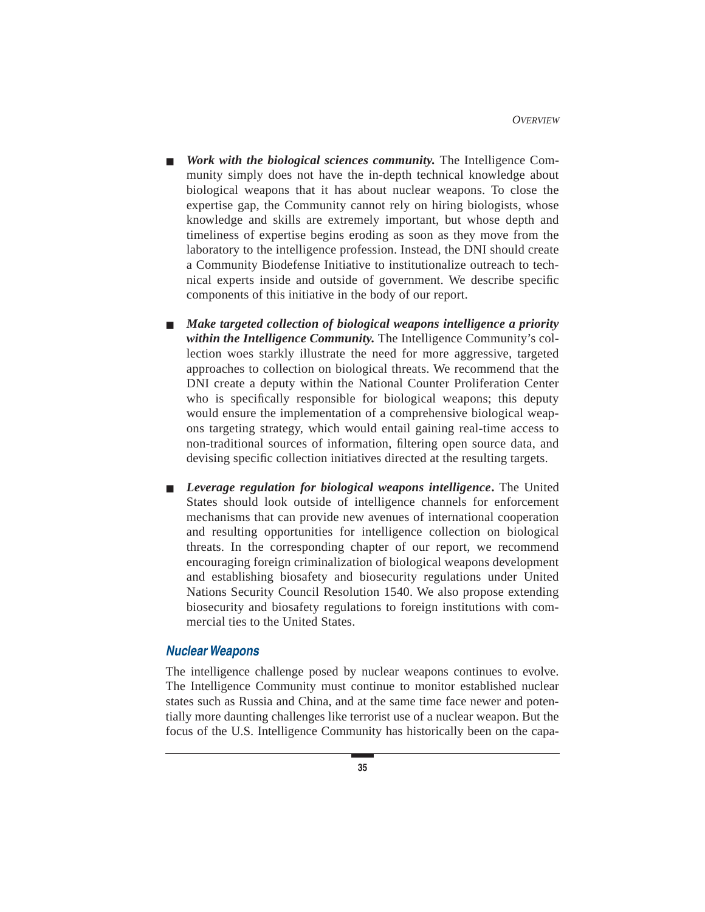- Work with the biological sciences community. The Intelligence Community simply does not have the in-depth technical knowledge about biological weapons that it has about nuclear weapons. To close the expertise gap, the Community cannot rely on hiring biologists, whose knowledge and skills are extremely important, but whose depth and timeliness of expertise begins eroding as soon as they move from the laboratory to the intelligence profession. Instead, the DNI should create a Community Biodefense Initiative to institutionalize outreach to technical experts inside and outside of government. We describe specific components of this initiative in the body of our report.
- *Make targeted collection of biological weapons intelligence a priority within the Intelligence Community.* The Intelligence Community's collection woes starkly illustrate the need for more aggressive, targeted approaches to collection on biological threats. We recommend that the DNI create a deputy within the National Counter Proliferation Center who is specifically responsible for biological weapons; this deputy would ensure the implementation of a comprehensive biological weapons targeting strategy, which would entail gaining real-time access to non-traditional sources of information, filtering open source data, and devising specific collection initiatives directed at the resulting targets.
- *Leverage regulation for biological weapons intelligence*. The United States should look outside of intelligence channels for enforcement mechanisms that can provide new avenues of international cooperation and resulting opportunities for intelligence collection on biological threats. In the corresponding chapter of our report, we recommend encouraging foreign criminalization of biological weapons development and establishing biosafety and biosecurity regulations under United Nations Security Council Resolution 1540. We also propose extending biosecurity and biosafety regulations to foreign institutions with commercial ties to the United States.

### *Nuclear Weapons*

The intelligence challenge posed by nuclear weapons continues to evolve. The Intelligence Community must continue to monitor established nuclear states such as Russia and China, and at the same time face newer and potentially more daunting challenges like terrorist use of a nuclear weapon. But the focus of the U.S. Intelligence Community has historically been on the capa-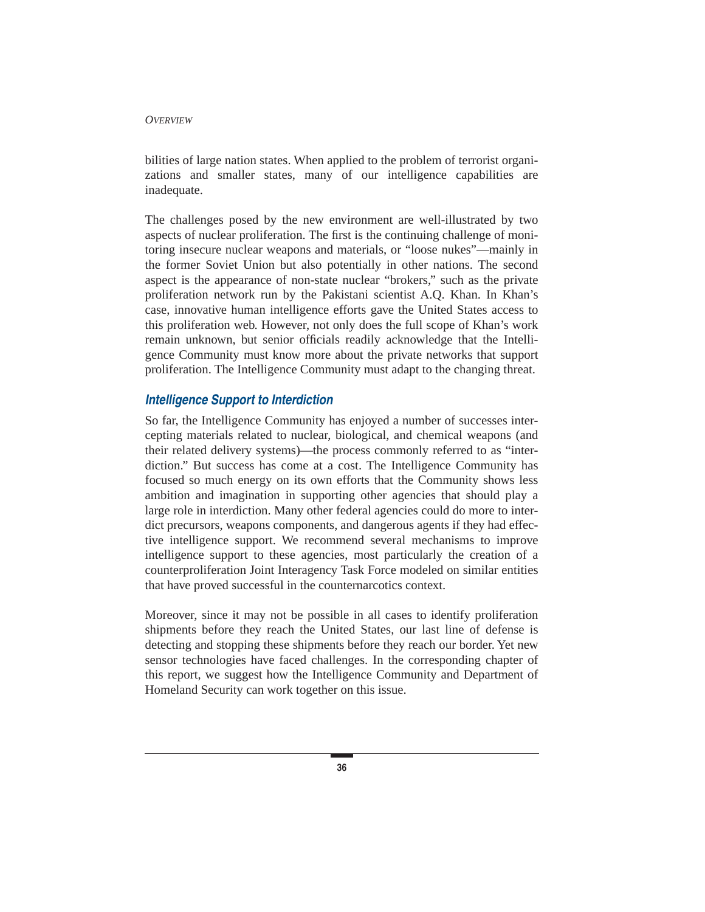bilities of large nation states. When applied to the problem of terrorist organizations and smaller states, many of our intelligence capabilities are inadequate.

The challenges posed by the new environment are well-illustrated by two aspects of nuclear proliferation. The first is the continuing challenge of monitoring insecure nuclear weapons and materials, or "loose nukes"—mainly in the former Soviet Union but also potentially in other nations. The second aspect is the appearance of non-state nuclear "brokers," such as the private proliferation network run by the Pakistani scientist A.Q. Khan. In Khan's case, innovative human intelligence efforts gave the United States access to this proliferation web. However, not only does the full scope of Khan's work remain unknown, but senior officials readily acknowledge that the Intelligence Community must know more about the private networks that support proliferation. The Intelligence Community must adapt to the changing threat.

### *Intelligence Support to Interdiction*

So far, the Intelligence Community has enjoyed a number of successes intercepting materials related to nuclear, biological, and chemical weapons (and their related delivery systems)—the process commonly referred to as "interdiction." But success has come at a cost. The Intelligence Community has focused so much energy on its own efforts that the Community shows less ambition and imagination in supporting other agencies that should play a large role in interdiction. Many other federal agencies could do more to interdict precursors, weapons components, and dangerous agents if they had effective intelligence support. We recommend several mechanisms to improve intelligence support to these agencies, most particularly the creation of a counterproliferation Joint Interagency Task Force modeled on similar entities that have proved successful in the counternarcotics context.

Moreover, since it may not be possible in all cases to identify proliferation shipments before they reach the United States, our last line of defense is detecting and stopping these shipments before they reach our border. Yet new sensor technologies have faced challenges. In the corresponding chapter of this report, we suggest how the Intelligence Community and Department of Homeland Security can work together on this issue.